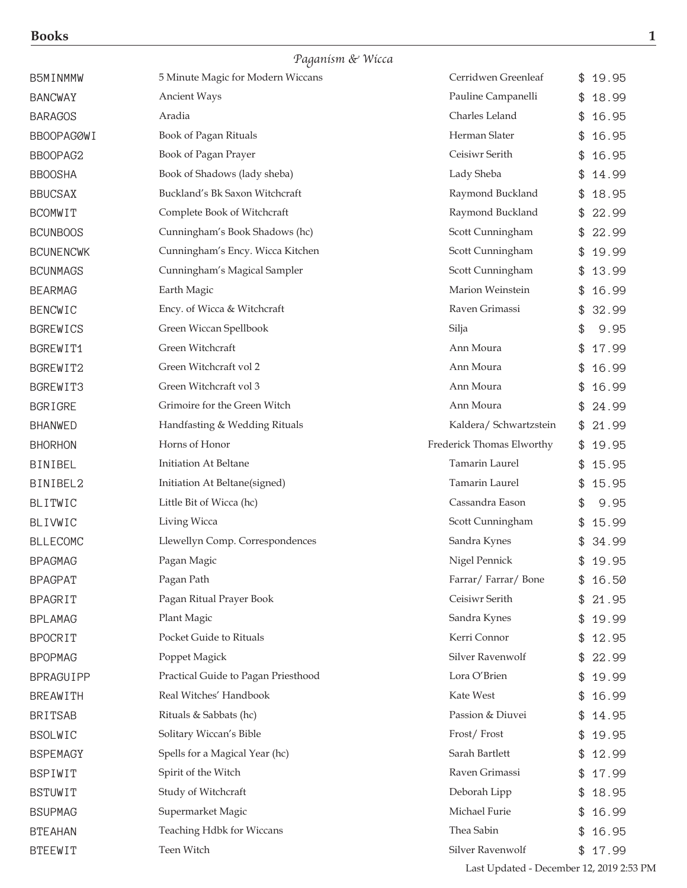|                  | Paganism & Wicca                    |                           |             |
|------------------|-------------------------------------|---------------------------|-------------|
| B5MINMMW         | 5 Minute Magic for Modern Wiccans   | Cerridwen Greenleaf       | 19.95<br>\$ |
| <b>BANCWAY</b>   | <b>Ancient Ways</b>                 | Pauline Campanelli        | 18.99       |
| <b>BARAGOS</b>   | Aradia                              | Charles Leland            | 16.95<br>\$ |
| BBOOPAGØWI       | Book of Pagan Rituals               | Herman Slater             | 16.95<br>\$ |
| BBOOPAG2         | Book of Pagan Prayer                | Ceisiwr Serith            | 16.95<br>\$ |
| <b>BBOOSHA</b>   | Book of Shadows (lady sheba)        | Lady Sheba                | 14.99       |
| <b>BBUCSAX</b>   | Buckland's Bk Saxon Witchcraft      | Raymond Buckland          | \$<br>18.95 |
| <b>BCOMWIT</b>   | Complete Book of Witchcraft         | Raymond Buckland          | 22.99<br>\$ |
| <b>BCUNBOOS</b>  | Cunningham's Book Shadows (hc)      | Scott Cunningham          | 22.99       |
| <b>BCUNENCWK</b> | Cunningham's Ency. Wicca Kitchen    | Scott Cunningham          | \$<br>19.99 |
| <b>BCUNMAGS</b>  | Cunningham's Magical Sampler        | Scott Cunningham          | 13.99<br>\$ |
| <b>BEARMAG</b>   | Earth Magic                         | Marion Weinstein          | 16.99<br>\$ |
| <b>BENCWIC</b>   | Ency. of Wicca & Witchcraft         | Raven Grimassi            | 32.99<br>\$ |
| <b>BGREWICS</b>  | Green Wiccan Spellbook              | Silja                     | \$<br>9.95  |
| BGREWIT1         | Green Witchcraft                    | Ann Moura                 | 17.99<br>\$ |
| BGREWIT2         | Green Witchcraft vol 2              | Ann Moura                 | 16.99<br>\$ |
| BGREWIT3         | Green Witchcraft vol 3              | Ann Moura                 | 16.99<br>\$ |
| <b>BGRIGRE</b>   | Grimoire for the Green Witch        | Ann Moura                 | 24.99<br>\$ |
| <b>BHANWED</b>   | Handfasting & Wedding Rituals       | Kaldera/ Schwartzstein    | 21.99<br>\$ |
| <b>BHORHON</b>   | Horns of Honor                      | Frederick Thomas Elworthy | 19.95<br>\$ |
| <b>BINIBEL</b>   | Initiation At Beltane               | Tamarin Laurel            | 15.95<br>\$ |
| BINIBEL2         | Initiation At Beltane(signed)       | <b>Tamarin Laurel</b>     | 15.95<br>\$ |
| <b>BLITWIC</b>   | Little Bit of Wicca (hc)            | Cassandra Eason           | \$<br>9.95  |
| <b>BLIVWIC</b>   | Living Wicca                        | Scott Cunningham          | \$<br>15.99 |
| <b>BLLECOMC</b>  | Llewellyn Comp. Correspondences     | Sandra Kynes              | \$<br>34.99 |
| <b>BPAGMAG</b>   | Pagan Magic                         | Nigel Pennick             | \$<br>19.95 |
| <b>BPAGPAT</b>   | Pagan Path                          | Farrar/Farrar/Bone        | 16.50<br>\$ |
| <b>BPAGRIT</b>   | Pagan Ritual Prayer Book            | Ceisiwr Serith            | 21.95<br>\$ |
| <b>BPLAMAG</b>   | Plant Magic                         | Sandra Kynes              | \$<br>19.99 |
| <b>BPOCRIT</b>   | Pocket Guide to Rituals             | Kerri Connor              | 12.95<br>\$ |
| <b>BPOPMAG</b>   | Poppet Magick                       | Silver Ravenwolf          | 22.99<br>\$ |
| BPRAGUIPP        | Practical Guide to Pagan Priesthood | Lora O'Brien              | 19.99<br>\$ |
| <b>BREAWITH</b>  | Real Witches' Handbook              | Kate West                 | 16.99<br>\$ |
| <b>BRITSAB</b>   | Rituals & Sabbats (hc)              | Passion & Diuvei          | \$<br>14.95 |
| <b>BSOLWIC</b>   | Solitary Wiccan's Bible             | Frost/Frost               | 19.95<br>\$ |
| <b>BSPEMAGY</b>  | Spells for a Magical Year (hc)      | Sarah Bartlett            | 12.99<br>\$ |
| <b>BSPIWIT</b>   | Spirit of the Witch                 | Raven Grimassi            | 17.99<br>\$ |
| <b>BSTUWIT</b>   | Study of Witchcraft                 | Deborah Lipp              | 18.95<br>\$ |
| <b>BSUPMAG</b>   | Supermarket Magic                   | Michael Furie             | 16.99<br>\$ |
| <b>BTEAHAN</b>   | Teaching Hdbk for Wiccans           | Thea Sabin                | \$<br>16.95 |
| <b>BTEEWIT</b>   | Teen Witch                          | Silver Ravenwolf          | \$17.99     |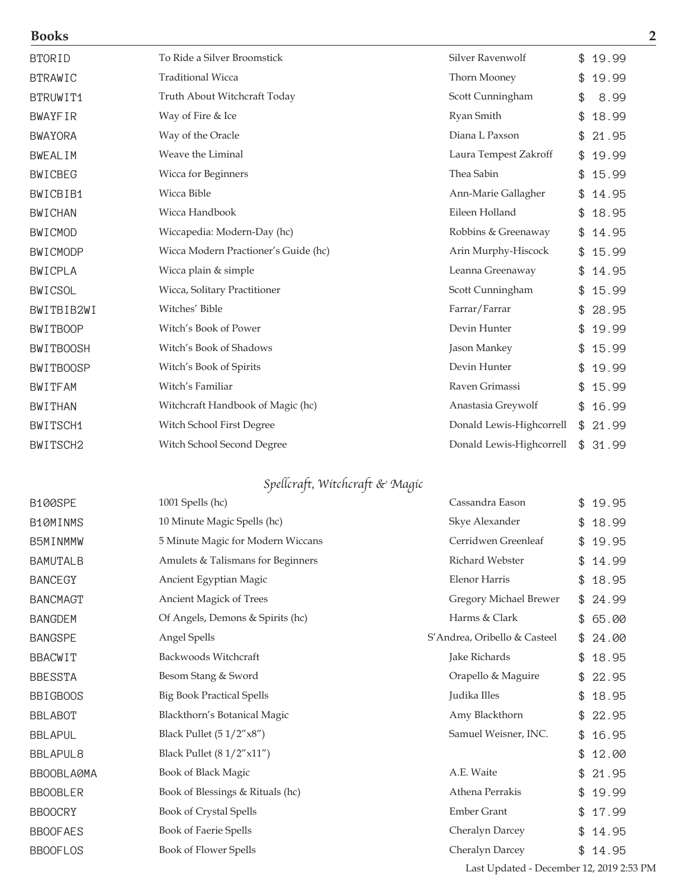| <b>Books</b>     |                                      |                          | $\overline{2}$ |
|------------------|--------------------------------------|--------------------------|----------------|
| <b>BTORID</b>    | To Ride a Silver Broomstick          | Silver Ravenwolf         | \$<br>19.99    |
| <b>BTRAWIC</b>   | <b>Traditional Wicca</b>             | Thorn Mooney             | 19.99<br>\$    |
| BTRUWIT1         | Truth About Witchcraft Today         | Scott Cunningham         | 8.99<br>\$     |
| <b>BWAYFIR</b>   | Way of Fire & Ice                    | Ryan Smith               | \$<br>18.99    |
| <b>BWAYORA</b>   | Way of the Oracle                    | Diana L Paxson           | 21.95          |
| <b>BWEALIM</b>   | Weave the Liminal                    | Laura Tempest Zakroff    | 19.99<br>\$    |
| <b>BWICBEG</b>   | Wicca for Beginners                  | Thea Sabin               | 15.99<br>\$    |
| BWICBIB1         | Wicca Bible                          | Ann-Marie Gallagher      | 14.95<br>\$    |
| <b>BWICHAN</b>   | Wicca Handbook                       | Eileen Holland           | 18.95<br>\$    |
| <b>BWICMOD</b>   | Wiccapedia: Modern-Day (hc)          | Robbins & Greenaway      | 14.95<br>\$.   |
| <b>BWICMODP</b>  | Wicca Modern Practioner's Guide (hc) | Arin Murphy-Hiscock      | 15.99<br>\$    |
| <b>BWICPLA</b>   | Wicca plain & simple                 | Leanna Greenaway         | 14.95<br>\$    |
| <b>BWICSOL</b>   | Wicca, Solitary Practitioner         | Scott Cunningham         | 15.99<br>\$    |
| BWITBIB2WI       | Witches' Bible                       | Farrar/Farrar            | 28.95          |
| <b>BWITBOOP</b>  | Witch's Book of Power                | Devin Hunter             | 19.99          |
| <b>BWITBOOSH</b> | Witch's Book of Shadows              | Jason Mankey             | 15.99<br>\$    |
| <b>BWITBOOSP</b> | Witch's Book of Spirits              | Devin Hunter             | 19.99          |
| <b>BWITFAM</b>   | Witch's Familiar                     | Raven Grimassi           | 15.99          |
| <b>BWITHAN</b>   | Witchcraft Handbook of Magic (hc)    | Anastasia Greywolf       | 16.99<br>\$    |
| BWITSCH1         | Witch School First Degree            | Donald Lewis-Highcorrell | \$<br>21.99    |
| BWITSCH2         | Witch School Second Degree           | Donald Lewis-Highcorrell | \$<br>31.99    |

## Spellcraft, Witchcraft & Magic

| <b>B100SPE</b>  | 1001 Spells (hc)                  | Cassandra Eason              | \$<br>19.95 |
|-----------------|-----------------------------------|------------------------------|-------------|
| B10MINMS        | 10 Minute Magic Spells (hc)       | Skye Alexander               | 18.99<br>\$ |
| B5MINMMW        | 5 Minute Magic for Modern Wiccans | Cerridwen Greenleaf          | 19.95<br>\$ |
| <b>BAMUTALB</b> | Amulets & Talismans for Beginners | Richard Webster              | 14.99<br>\$ |
| <b>BANCEGY</b>  | Ancient Egyptian Magic            | Elenor Harris                | 18.95<br>\$ |
| <b>BANCMAGT</b> | Ancient Magick of Trees           | Gregory Michael Brewer       | 24.99<br>\$ |
| <b>BANGDEM</b>  | Of Angels, Demons & Spirits (hc)  | Harms & Clark                | 65.00<br>\$ |
| <b>BANGSPE</b>  | Angel Spells                      | S'Andrea, Oribello & Casteel | 24.00<br>\$ |
| BBACWIT         | Backwoods Witchcraft              | Jake Richards                | 18.95<br>\$ |
| <b>BBESSTA</b>  | Besom Stang & Sword               | Orapello & Maguire           | 22.95<br>\$ |
| <b>BBIGBOOS</b> | <b>Big Book Practical Spells</b>  | Judika Illes                 | 18.95<br>\$ |
| <b>BBLABOT</b>  | Blackthorn's Botanical Magic      | Amy Blackthorn               | 22.95<br>\$ |
| <b>BBLAPUL</b>  | Black Pullet $(51/2"x8")$         | Samuel Weisner, INC.         | 16.95<br>\$ |
| <b>BBLAPUL8</b> | Black Pullet $(81/2"x11")$        |                              | 12.00<br>\$ |
| BBOOBLAØMA      | Book of Black Magic               | A.E. Waite                   | 21.95<br>\$ |
| <b>BBOOBLER</b> | Book of Blessings & Rituals (hc)  | Athena Perrakis              | \$<br>19.99 |
| <b>BBOOCRY</b>  | Book of Crystal Spells            | <b>Ember Grant</b>           | 17.99<br>\$ |
| <b>BBOOFAES</b> | Book of Faerie Spells             | Cheralyn Darcey              | 14.95<br>\$ |
| <b>BBOOFLOS</b> | Book of Flower Spells             | Cheralyn Darcey              | 14.95<br>\$ |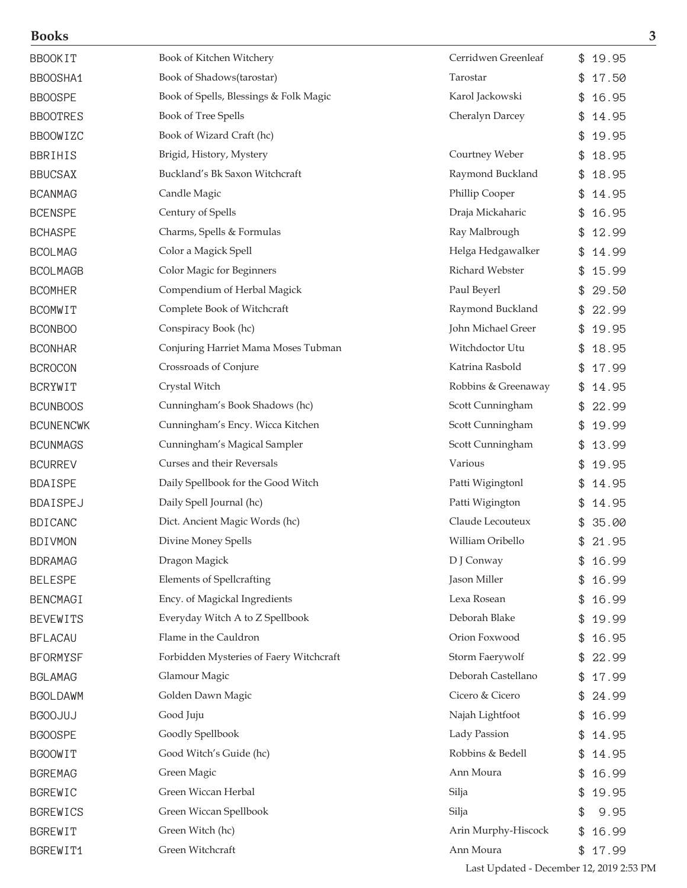| BBOOKIT          | Book of Kitchen Witchery                | Cerridwen Greenleaf | 19.95<br>\$ |
|------------------|-----------------------------------------|---------------------|-------------|
| BBOOSHA1         | Book of Shadows(tarostar)               | Tarostar            | 17.50<br>\$ |
| <b>BBOOSPE</b>   | Book of Spells, Blessings & Folk Magic  | Karol Jackowski     | 16.95<br>\$ |
| <b>BBOOTRES</b>  | Book of Tree Spells                     | Cheralyn Darcey     | 14.95       |
| <b>BBOOWIZC</b>  | Book of Wizard Craft (hc)               |                     | \$<br>19.95 |
| BBRIHIS          | Brigid, History, Mystery                | Courtney Weber      | 18.95       |
| <b>BBUCSAX</b>   | Buckland's Bk Saxon Witchcraft          | Raymond Buckland    | 18.95<br>\$ |
| <b>BCANMAG</b>   | Candle Magic                            | Phillip Cooper      | 14.95       |
| <b>BCENSPE</b>   | Century of Spells                       | Draja Mickaharic    | 16.95<br>\$ |
| <b>BCHASPE</b>   | Charms, Spells & Formulas               | Ray Malbrough       | 12.99<br>\$ |
| <b>BCOLMAG</b>   | Color a Magick Spell                    | Helga Hedgawalker   | \$<br>14.99 |
| BCOLMAGB         | Color Magic for Beginners               | Richard Webster     | 15.99       |
| <b>BCOMHER</b>   | Compendium of Herbal Magick             | Paul Beyerl         | 29.50       |
| BCOMWIT          | Complete Book of Witchcraft             | Raymond Buckland    | 22.99       |
| BCONBOO          | Conspiracy Book (hc)                    | John Michael Greer  | 19.95       |
| <b>BCONHAR</b>   | Conjuring Harriet Mama Moses Tubman     | Witchdoctor Utu     | 18.95<br>\$ |
| <b>BCROCON</b>   | Crossroads of Conjure                   | Katrina Rasbold     | 17.99<br>\$ |
| BCRYWIT          | Crystal Witch                           | Robbins & Greenaway | 14.95<br>\$ |
| <b>BCUNBOOS</b>  | Cunningham's Book Shadows (hc)          | Scott Cunningham    | 22.99       |
| <b>BCUNENCWK</b> | Cunningham's Ency. Wicca Kitchen        | Scott Cunningham    | 19.99       |
| <b>BCUNMAGS</b>  | Cunningham's Magical Sampler            | Scott Cunningham    | 13.99       |
| <b>BCURREV</b>   | Curses and their Reversals              | Various             | 19.95       |
| BDAISPE          | Daily Spellbook for the Good Witch      | Patti Wigingtonl    | 14.95<br>\$ |
| BDAISPEJ         | Daily Spell Journal (hc)                | Patti Wigington     | 14.95<br>\$ |
| <b>BDICANC</b>   | Dict. Ancient Magic Words (hc)          | Claude Lecouteux    | 35.00<br>\$ |
| BDIVMON          | Divine Money Spells                     | William Oribello    | \$21.95     |
| BDRAMAG          | Dragon Magick                           | D J Conway          | 16.99<br>\$ |
| <b>BELESPE</b>   | <b>Elements of Spellcrafting</b>        | Jason Miller        | 16.99       |
| BENCMAGI         | Ency. of Magickal Ingredients           | Lexa Rosean         | 16.99<br>\$ |
| BEVEWITS         | Everyday Witch A to Z Spellbook         | Deborah Blake       | 19.99       |
| BFLACAU          | Flame in the Cauldron                   | Orion Foxwood       | 16.95<br>\$ |
| BFORMYSF         | Forbidden Mysteries of Faery Witchcraft | Storm Faerywolf     | 22.99<br>\$ |
| BGLAMAG          | Glamour Magic                           | Deborah Castellano  | 17.99<br>\$ |
| BGOLDAWM         | Golden Dawn Magic                       | Cicero & Cicero     | 24.99<br>\$ |
| <b>BGOOJUJ</b>   | Good Juju                               | Najah Lightfoot     | 16.99<br>\$ |
| <b>BGOOSPE</b>   | Goodly Spellbook                        | Lady Passion        | 14.95<br>\$ |
| <b>BGOOWIT</b>   | Good Witch's Guide (hc)                 | Robbins & Bedell    | 14.95<br>\$ |
| BGREMAG          | Green Magic                             | Ann Moura           | 16.99<br>\$ |
| BGREWIC          | Green Wiccan Herbal                     | Silja               | 19.95<br>\$ |
| <b>BGREWICS</b>  | Green Wiccan Spellbook                  | Silja               | \$<br>9.95  |
| BGREWIT          | Green Witch (hc)                        | Arin Murphy-Hiscock | \$16.99     |
|                  |                                         |                     |             |

BGREWIT1 Green Witchcraft Green Green Green Ann Moura \$ 17.99

**Books 3**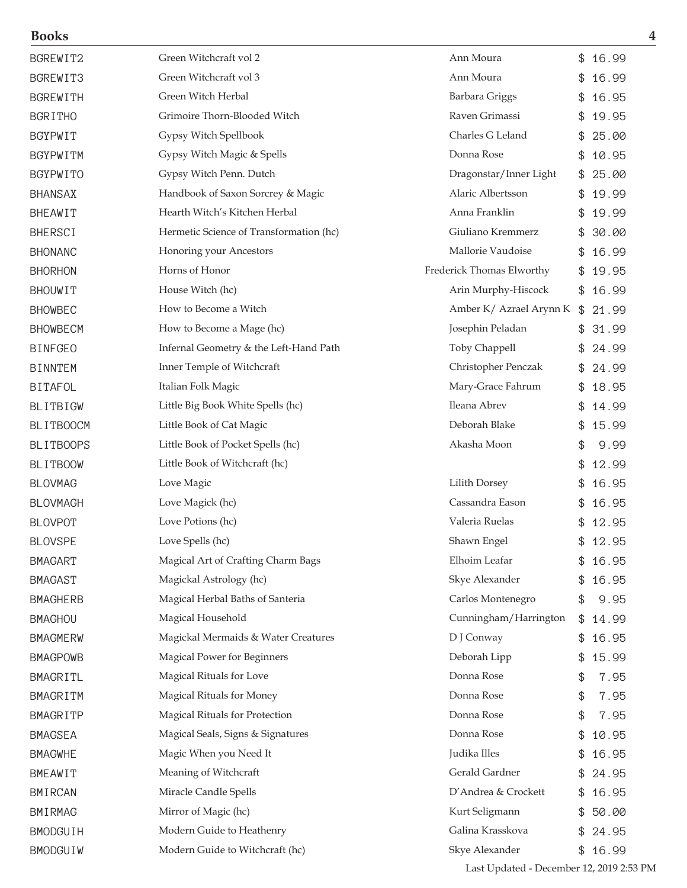| BGREWIT2         | Green Witchcraft vol 2                  | Ann Moura                 | \$            | 16.99   |
|------------------|-----------------------------------------|---------------------------|---------------|---------|
| BGREWIT3         | Green Witchcraft vol 3                  | Ann Moura                 | \$            | 16.99   |
| <b>BGREWITH</b>  | Green Witch Herbal                      | Barbara Griggs            | \$            | 16.95   |
| <b>BGRITHO</b>   | Grimoire Thorn-Blooded Witch            | Raven Grimassi            | \$            | 19.95   |
| <b>BGYPWIT</b>   | Gypsy Witch Spellbook                   | Charles G Leland          | \$            | 25.00   |
| BGYPWITM         | Gypsy Witch Magic & Spells              | Donna Rose                | \$            | 10.95   |
| <b>BGYPWITO</b>  | Gypsy Witch Penn. Dutch                 | Dragonstar/Inner Light    | \$            | 25.00   |
| <b>BHANSAX</b>   | Handbook of Saxon Sorcrey & Magic       | Alaric Albertsson         | \$            | 19.99   |
| <b>BHEAWIT</b>   | Hearth Witch's Kitchen Herbal           | Anna Franklin             | \$            | 19.99   |
| <b>BHERSCI</b>   | Hermetic Science of Transformation (hc) | Giuliano Kremmerz         | \$            | 30.00   |
| <b>BHONANC</b>   | Honoring your Ancestors                 | Mallorie Vaudoise         | \$            | 16.99   |
| <b>BHORHON</b>   | Horns of Honor                          | Frederick Thomas Elworthy | \$            | 19.95   |
| <b>BHOUWIT</b>   | House Witch (hc)                        | Arin Murphy-Hiscock       | \$            | 16.99   |
| <b>BHOWBEC</b>   | How to Become a Witch                   | Amber K/ Azrael Arynn K   | $\frac{1}{2}$ | 21.99   |
| <b>BHOWBECM</b>  | How to Become a Mage (hc)               | Josephin Peladan          | \$            | 31.99   |
| <b>BINFGEO</b>   | Infernal Geometry & the Left-Hand Path  | Toby Chappell             | \$            | 24.99   |
| <b>BINNTEM</b>   | Inner Temple of Witchcraft              | Christopher Penczak       | \$            | 24.99   |
| <b>BITAFOL</b>   | Italian Folk Magic                      | Mary-Grace Fahrum         | \$            | 18.95   |
| <b>BLITBIGW</b>  | Little Big Book White Spells (hc)       | Ileana Abrev              | \$            | 14.99   |
| <b>BLITBOOCM</b> | Little Book of Cat Magic                | Deborah Blake             | \$            | 15.99   |
| <b>BLITBOOPS</b> | Little Book of Pocket Spells (hc)       | Akasha Moon               | \$            | 9.99    |
| <b>BLITBOOW</b>  | Little Book of Witchcraft (hc)          |                           | \$            | 12.99   |
| <b>BLOVMAG</b>   | Love Magic                              | Lilith Dorsey             | \$            | 16.95   |
| <b>BLOVMAGH</b>  | Love Magick (hc)                        | Cassandra Eason           | \$            | 16.95   |
| <b>BLOVPOT</b>   | Love Potions (hc)                       | Valeria Ruelas            | \$            | 12.95   |
| <b>BLOVSPE</b>   | Love Spells (hc)                        | Shawn Engel               | \$            | 12.95   |
| <b>BMAGART</b>   | Magical Art of Crafting Charm Bags      | Elhoim Leafar             | \$            | 16.95   |
| <b>BMAGAST</b>   | Magickal Astrology (hc)                 | Skye Alexander            | \$            | 16.95   |
| <b>BMAGHERB</b>  | Magical Herbal Baths of Santeria        | Carlos Montenegro         | \$            | 9.95    |
| <b>BMAGHOU</b>   | Magical Household                       | Cunningham/Harrington     | \$            | 14.99   |
| <b>BMAGMERW</b>  | Magickal Mermaids & Water Creatures     | D J Conway                | \$            | 16.95   |
| <b>BMAGPOWB</b>  | Magical Power for Beginners             | Deborah Lipp              | \$            | 15.99   |
| BMAGRITL         | Magical Rituals for Love                | Donna Rose                | \$            | 7.95    |
| BMAGRITM         | Magical Rituals for Money               | Donna Rose                | \$            | 7.95    |
| BMAGRITP         | Magical Rituals for Protection          | Donna Rose                | \$            | 7.95    |
| <b>BMAGSEA</b>   | Magical Seals, Signs & Signatures       | Donna Rose                | \$            | 10.95   |
| <b>BMAGWHE</b>   | Magic When you Need It                  | Judika Illes              | \$            | 16.95   |
| BMEAWIT          | Meaning of Witchcraft                   | Gerald Gardner            | \$            | 24.95   |
| <b>BMIRCAN</b>   | Miracle Candle Spells                   | D'Andrea & Crockett       | \$            | 16.95   |
| BMIRMAG          | Mirror of Magic (hc)                    | Kurt Seligmann            | \$            | 50.00   |
| BMODGUIH         | Modern Guide to Heathenry               | Galina Krasskova          | \$            | 24.95   |
| BMODGUIW         | Modern Guide to Witchcraft (hc)         | Skye Alexander            |               | \$16.99 |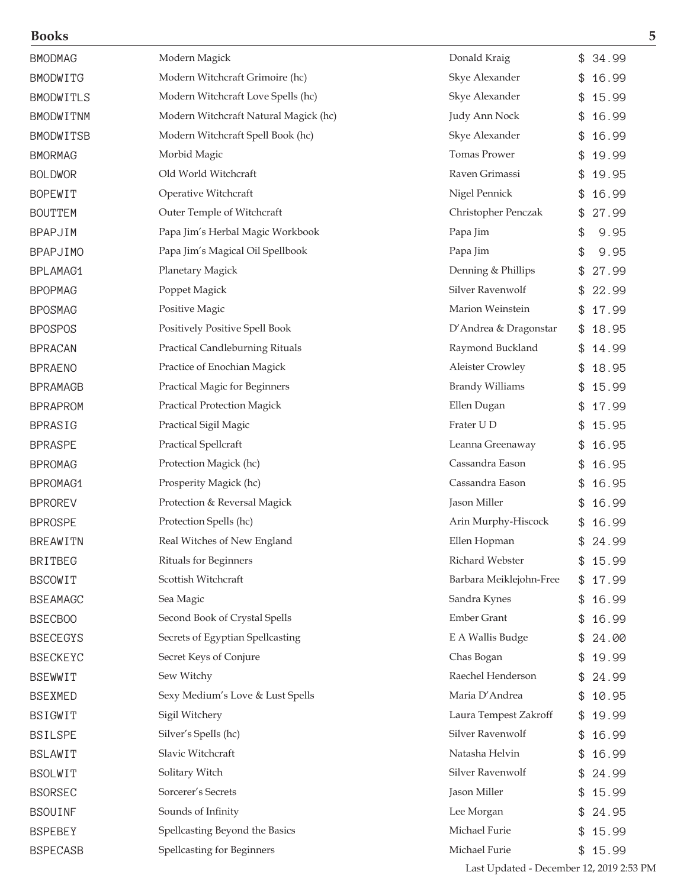| <b>BMODMAG</b>   | Modern Magick                          | Donald Kraig            | 34.99<br>\$ |
|------------------|----------------------------------------|-------------------------|-------------|
| BMODWITG         | Modern Witchcraft Grimoire (hc)        | Skye Alexander          | 16.99       |
| <b>BMODWITLS</b> | Modern Witchcraft Love Spells (hc)     | Skye Alexander          | 15.99<br>\$ |
| <b>BMODWITNM</b> | Modern Witchcraft Natural Magick (hc)  | Judy Ann Nock           | 16.99<br>\$ |
| <b>BMODWITSB</b> | Modern Witchcraft Spell Book (hc)      | Skye Alexander          | 16.99<br>\$ |
| <b>BMORMAG</b>   | Morbid Magic                           | Tomas Prower            | 19.99<br>\$ |
| <b>BOLDWOR</b>   | Old World Witchcraft                   | Raven Grimassi          | 19.95       |
| <b>BOPEWIT</b>   | Operative Witchcraft                   | Nigel Pennick           | 16.99       |
| <b>BOUTTEM</b>   | Outer Temple of Witchcraft             | Christopher Penczak     | 27.99<br>\$ |
| <b>BPAPJIM</b>   | Papa Jim's Herbal Magic Workbook       | Papa Jim                | 9.95<br>\$  |
| <b>BPAPJIMO</b>  | Papa Jim's Magical Oil Spellbook       | Papa Jim                | \$<br>9.95  |
| BPLAMAG1         | Planetary Magick                       | Denning & Phillips      | 27.99<br>\$ |
| <b>BPOPMAG</b>   | Poppet Magick                          | Silver Ravenwolf        | 22.99<br>\$ |
| <b>BPOSMAG</b>   | Positive Magic                         | Marion Weinstein        | 17.99       |
| <b>BPOSPOS</b>   | Positively Positive Spell Book         | D'Andrea & Dragonstar   | 18.95       |
| <b>BPRACAN</b>   | <b>Practical Candleburning Rituals</b> | Raymond Buckland        | 14.99       |
| <b>BPRAENO</b>   | Practice of Enochian Magick            | <b>Aleister Crowley</b> | 18.95       |
| <b>BPRAMAGB</b>  | Practical Magic for Beginners          | <b>Brandy Williams</b>  | 15.99<br>\$ |
| <b>BPRAPROM</b>  | <b>Practical Protection Magick</b>     | Ellen Dugan             | 17.99       |
| <b>BPRASIG</b>   | Practical Sigil Magic                  | Frater U D              | 15.95<br>\$ |
| <b>BPRASPE</b>   | Practical Spellcraft                   | Leanna Greenaway        | 16.95<br>\$ |
| <b>BPROMAG</b>   | Protection Magick (hc)                 | Cassandra Eason         | 16.95       |
| BPROMAG1         | Prosperity Magick (hc)                 | Cassandra Eason         | 16.95       |
| <b>BPROREV</b>   | Protection & Reversal Magick           | Jason Miller            | 16.99       |
| <b>BPROSPE</b>   | Protection Spells (hc)                 | Arin Murphy-Hiscock     | 16.99<br>\$ |
| <b>BREAWITN</b>  | Real Witches of New England            | Ellen Hopman            | \$<br>24.99 |
| <b>BRITBEG</b>   | Rituals for Beginners                  | Richard Webster         | 15.99<br>\$ |
| <b>BSCOWIT</b>   | Scottish Witchcraft                    | Barbara Meiklejohn-Free | 17.99<br>\$ |
| <b>BSEAMAGC</b>  | Sea Magic                              | Sandra Kynes            | 16.99<br>\$ |
| <b>BSECBOO</b>   | Second Book of Crystal Spells          | <b>Ember Grant</b>      | \$<br>16.99 |
| <b>BSECEGYS</b>  | Secrets of Egyptian Spellcasting       | E A Wallis Budge        | 24.00<br>\$ |
| <b>BSECKEYC</b>  | Secret Keys of Conjure                 | Chas Bogan              | 19.99<br>\$ |
| <b>BSEWWIT</b>   | Sew Witchy                             | Raechel Henderson       | 24.99<br>\$ |
| <b>BSEXMED</b>   | Sexy Medium's Love & Lust Spells       | Maria D'Andrea          | 10.95<br>\$ |
| BSIGWIT          | Sigil Witchery                         | Laura Tempest Zakroff   | 19.99<br>\$ |
| <b>BSILSPE</b>   | Silver's Spells (hc)                   | Silver Ravenwolf        | 16.99<br>\$ |
| <b>BSLAWIT</b>   | Slavic Witchcraft                      | Natasha Helvin          | 16.99<br>\$ |
| <b>BSOLWIT</b>   | Solitary Witch                         | Silver Ravenwolf        | 24.99<br>\$ |
| <b>BSORSEC</b>   | Sorcerer's Secrets                     | Jason Miller            | 15.99<br>\$ |
| <b>BSOUINF</b>   | Sounds of Infinity                     | Lee Morgan              | 24.95<br>\$ |
| <b>BSPEBEY</b>   | Spellcasting Beyond the Basics         | Michael Furie           | 15.99<br>\$ |
| <b>BSPECASB</b>  | <b>Spellcasting for Beginners</b>      | Michael Furie           | \$15.99     |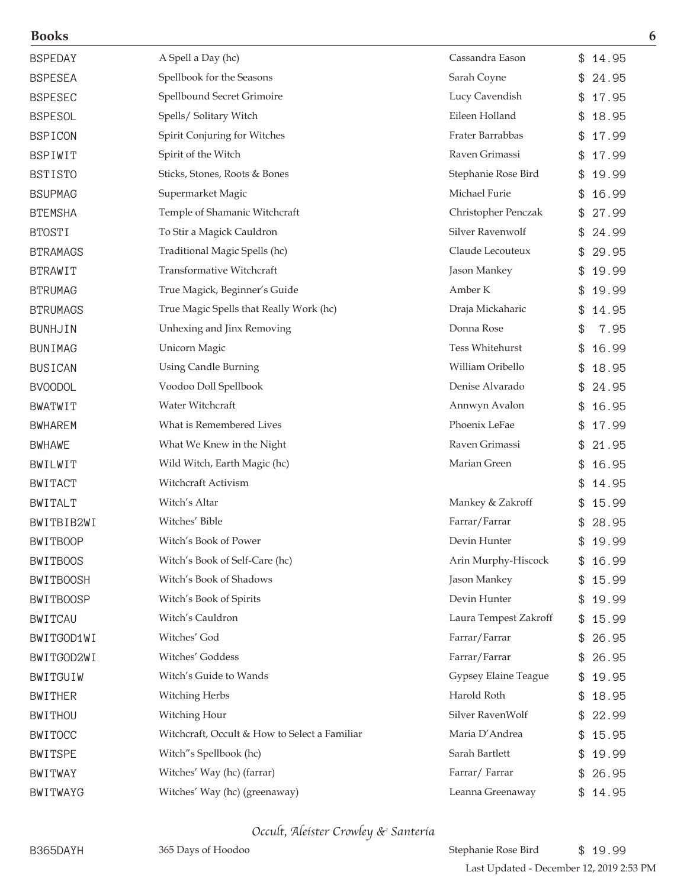| <b>Books</b>     |                                               |                       | 6           |
|------------------|-----------------------------------------------|-----------------------|-------------|
| <b>BSPEDAY</b>   | A Spell a Day (hc)                            | Cassandra Eason       | \$14.95     |
| <b>BSPESEA</b>   | Spellbook for the Seasons                     | Sarah Coyne           | 24.95<br>£. |
| <b>BSPESEC</b>   | Spellbound Secret Grimoire                    | Lucy Cavendish        | 17.95<br>\$ |
| <b>BSPESOL</b>   | Spells/ Solitary Witch                        | Eileen Holland        | 18.95<br>\$ |
| <b>BSPICON</b>   | Spirit Conjuring for Witches                  | Frater Barrabbas      | 17.99<br>\$ |
| <b>BSPIWIT</b>   | Spirit of the Witch                           | Raven Grimassi        | 17.99<br>\$ |
| <b>BSTISTO</b>   | Sticks, Stones, Roots & Bones                 | Stephanie Rose Bird   | 19.99<br>\$ |
| <b>BSUPMAG</b>   | Supermarket Magic                             | Michael Furie         | 16.99       |
| <b>BTEMSHA</b>   | Temple of Shamanic Witchcraft                 | Christopher Penczak   | 27.99<br>\$ |
| <b>BTOSTI</b>    | To Stir a Magick Cauldron                     | Silver Ravenwolf      | 24.99       |
| <b>BTRAMAGS</b>  | Traditional Magic Spells (hc)                 | Claude Lecouteux      | 29.95       |
| <b>BTRAWIT</b>   | Transformative Witchcraft                     | Jason Mankey          | 19.99<br>\$ |
| <b>BTRUMAG</b>   | True Magick, Beginner's Guide                 | Amber K               | 19.99<br>\$ |
| <b>BTRUMAGS</b>  | True Magic Spells that Really Work (hc)       | Draja Mickaharic      | 14.95       |
| <b>BUNHJIN</b>   | Unhexing and Jinx Removing                    | Donna Rose            | 7.95<br>\$  |
| <b>BUNIMAG</b>   | Unicorn Magic                                 | Tess Whitehurst       | 16.99<br>\$ |
| <b>BUSICAN</b>   | <b>Using Candle Burning</b>                   | William Oribello      | 18.95       |
| <b>BVOODOL</b>   | Voodoo Doll Spellbook                         | Denise Alvarado       | 24.95       |
| <b>BWATWIT</b>   | Water Witchcraft                              | Annwyn Avalon         | 16.95       |
| <b>BWHAREM</b>   | What is Remembered Lives                      | Phoenix LeFae         | 17.99<br>\$ |
| <b>BWHAWE</b>    | What We Knew in the Night                     | Raven Grimassi        | 21.95<br>\$ |
| BWILWIT          | Wild Witch, Earth Magic (hc)                  | Marian Green          | 16.95       |
| <b>BWITACT</b>   | Witchcraft Activism                           |                       | 14.95       |
| <b>BWITALT</b>   | Witch's Altar                                 | Mankey & Zakroff      | 15.99       |
| BWITBIB2WI       | Witches' Bible                                | Farrar/Farrar         | 28.95<br>\$ |
| <b>BWITBOOP</b>  | Witch's Book of Power                         | Devin Hunter          | 19.99       |
| <b>BWITBOOS</b>  | Witch's Book of Self-Care (hc)                | Arin Murphy-Hiscock   | 16.99       |
| <b>BWITBOOSH</b> | Witch's Book of Shadows                       | Jason Mankey          | 15.99<br>\$ |
| <b>BWITBOOSP</b> | Witch's Book of Spirits                       | Devin Hunter          | 19.99<br>\$ |
| <b>BWITCAU</b>   | Witch's Cauldron                              | Laura Tempest Zakroff | \$15.99     |
| BWITGOD1WI       | Witches' God                                  | Farrar/Farrar         | 26.95       |
| BWITGOD2WI       | Witches' Goddess                              | Farrar/Farrar         | 26.95       |
| BWITGUIW         | Witch's Guide to Wands                        | Gypsey Elaine Teague  | \$19.95     |
| <b>BWITHER</b>   | Witching Herbs                                | Harold Roth           | 18.95       |
| <b>BWITHOU</b>   | Witching Hour                                 | Silver RavenWolf      | 22.99<br>\$ |
| <b>BWITOCC</b>   | Witchcraft, Occult & How to Select a Familiar | Maria D'Andrea        | \$15.95     |
| <b>BWITSPE</b>   | Witch"s Spellbook (hc)                        | Sarah Bartlett        | 19.99       |
| BWITWAY          | Witches' Way (hc) (farrar)                    | Farrar/Farrar         | \$26.95     |
| BWITWAYG         | Witches' Way (hc) (greenaway)                 | Leanna Greenaway      | \$14.95     |

Occult, Aleister Crowley & Santeria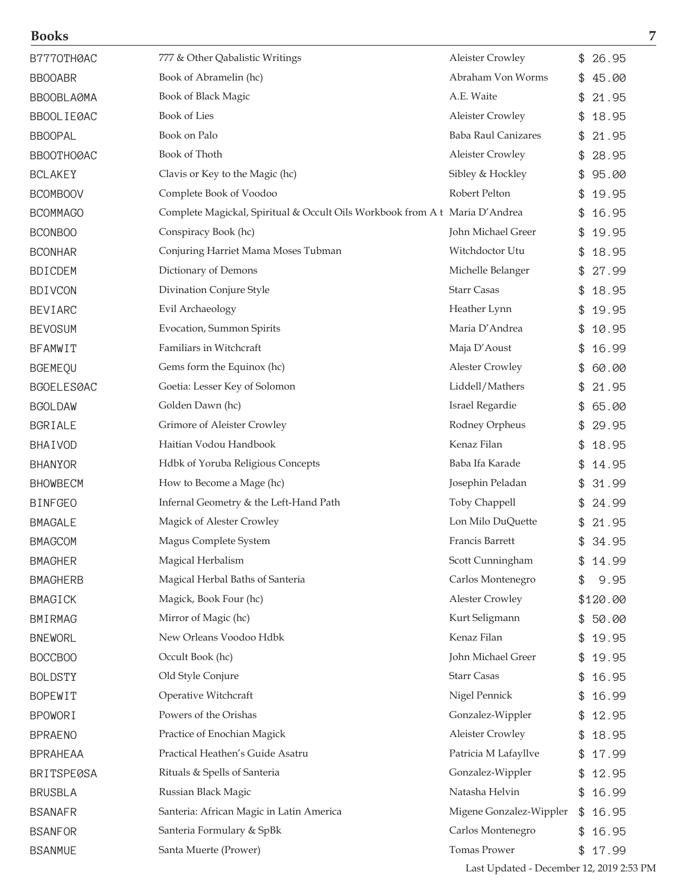| B7770TH0AC        | 777 & Other Qabalistic Writings                                            | <b>Aleister Crowley</b>    | 26.95       |
|-------------------|----------------------------------------------------------------------------|----------------------------|-------------|
| <b>BBOOABR</b>    | Book of Abramelin (hc)                                                     | Abraham Von Worms          | 45.00       |
| BBOOBLA0MA        | Book of Black Magic                                                        | A.E. Waite                 | 21.95       |
| BBOOL I EØAC      | <b>Book of Lies</b>                                                        | <b>Aleister Crowley</b>    | 18.95       |
| <b>BBOOPAL</b>    | Book on Palo                                                               | <b>Baba Raul Canizares</b> | 21.95       |
| BBOOTHOØAC        | Book of Thoth                                                              | <b>Aleister Crowley</b>    | 28.95<br>\$ |
| <b>BCLAKEY</b>    | Clavis or Key to the Magic (hc)                                            | Sibley & Hockley           | 95.00       |
| <b>BCOMBOOV</b>   | Complete Book of Voodoo                                                    | Robert Pelton              | 19.95       |
| <b>BCOMMAGO</b>   | Complete Magickal, Spiritual & Occult Oils Workbook from At Maria D'Andrea |                            | 16.95       |
| <b>BCONBOO</b>    | Conspiracy Book (hc)                                                       | John Michael Greer         | 19.95       |
| <b>BCONHAR</b>    | Conjuring Harriet Mama Moses Tubman                                        | Witchdoctor Utu            | 18.95       |
| <b>BDICDEM</b>    | Dictionary of Demons                                                       | Michelle Belanger          | 27.99       |
| <b>BDIVCON</b>    | Divination Conjure Style                                                   | <b>Starr Casas</b>         | 18.95       |
| <b>BEVIARC</b>    | Evil Archaeology                                                           | Heather Lynn               | 19.95<br>\$ |
| <b>BEVOSUM</b>    | Evocation, Summon Spirits                                                  | Maria D'Andrea             | 10.95       |
| <b>BFAMWIT</b>    | Familiars in Witchcraft                                                    | Maja D'Aoust               | 16.99       |
| <b>BGEMEQU</b>    | Gems form the Equinox (hc)                                                 | <b>Alester Crowley</b>     | 60.00       |
| BGOELES0AC        | Goetia: Lesser Key of Solomon                                              | Liddell/Mathers            | 21.95       |
| <b>BGOLDAW</b>    | Golden Dawn (hc)                                                           | Israel Regardie            | 65.00       |
| BGRIALE           | Grimore of Aleister Crowley                                                | Rodney Orpheus             | 29.95       |
| BHAIVOD           | Haitian Vodou Handbook                                                     | Kenaz Filan                | \$<br>18.95 |
| <b>BHANYOR</b>    | Hdbk of Yoruba Religious Concepts                                          | Baba Ifa Karade            | 14.95       |
| <b>BHOWBECM</b>   | How to Become a Mage (hc)                                                  | Josephin Peladan           | 31.99       |
| <b>BINFGEO</b>    | Infernal Geometry & the Left-Hand Path                                     | Toby Chappell              | 24.99       |
| <b>BMAGALE</b>    | Magick of Alester Crowley                                                  | Lon Milo DuQuette          | 21.95       |
| <b>BMAGCOM</b>    | Magus Complete System                                                      | Francis Barrett            | \$<br>34.95 |
| <b>BMAGHER</b>    | Magical Herbalism                                                          | Scott Cunningham           | 14.99       |
| <b>BMAGHERB</b>   | Magical Herbal Baths of Santeria                                           | Carlos Montenegro          | 9.95        |
| <b>BMAGICK</b>    | Magick, Book Four (hc)                                                     | <b>Alester Crowley</b>     | \$120.00    |
| <b>BMIRMAG</b>    | Mirror of Magic (hc)                                                       | Kurt Seligmann             | 50.00<br>\$ |
| <b>BNEWORL</b>    | New Orleans Voodoo Hdbk                                                    | Kenaz Filan                | 19.95       |
| BOCCBOO           | Occult Book (hc)                                                           | John Michael Greer         | 19.95       |
| <b>BOLDSTY</b>    | Old Style Conjure                                                          | <b>Starr Casas</b>         | 16.95       |
| <b>BOPEWIT</b>    | Operative Witchcraft                                                       | Nigel Pennick              | 16.99       |
| <b>BPOWORI</b>    | Powers of the Orishas                                                      | Gonzalez-Wippler           | 12.95       |
| <b>BPRAENO</b>    | Practice of Enochian Magick                                                | <b>Aleister Crowley</b>    | 18.95<br>\$ |
| <b>BPRAHEAA</b>   | Practical Heathen's Guide Asatru                                           | Patricia M Lafayllve       | 17.99<br>\$ |
| <b>BRITSPE0SA</b> | Rituals & Spells of Santeria                                               | Gonzalez-Wippler           | 12.95       |
| <b>BRUSBLA</b>    | Russian Black Magic                                                        | Natasha Helvin             | 16.99       |
| <b>BSANAFR</b>    | Santeria: African Magic in Latin America                                   | Migene Gonzalez-Wippler    | 16.95<br>\$ |
| <b>BSANFOR</b>    | Santeria Formulary & SpBk                                                  | Carlos Montenegro          | 16.95       |
| <b>BSANMUE</b>    | Santa Muerte (Prower)                                                      | Tomas Prower               | 17.99<br>\$ |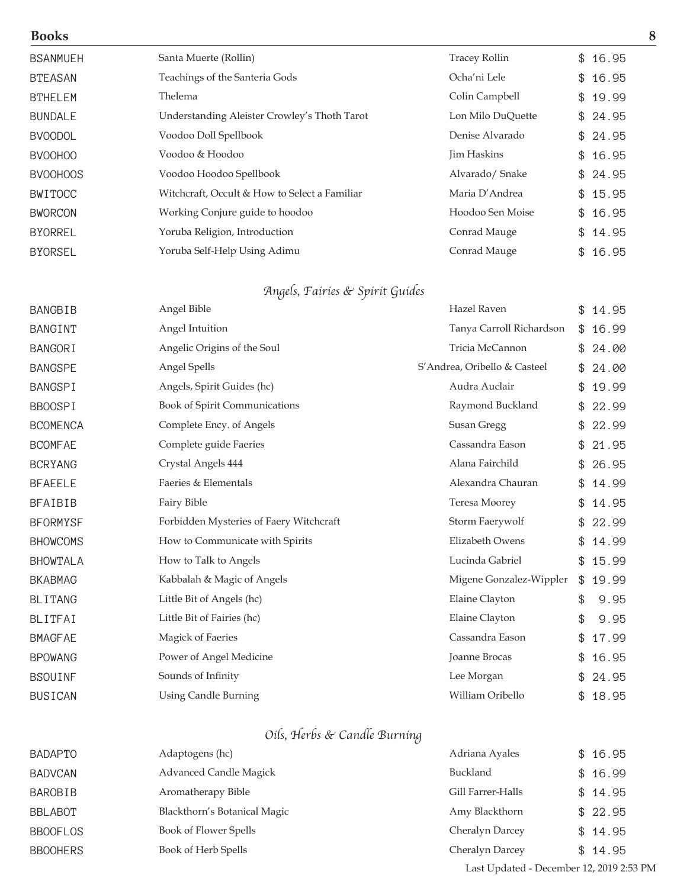| <b>BSANMUEH</b> | Santa Muerte (Rollin)                         | <b>Tracey Rollin</b> | \$16.95     |
|-----------------|-----------------------------------------------|----------------------|-------------|
| <b>BTEASAN</b>  | Teachings of the Santeria Gods                | Ocha'ni Lele         | \$16.95     |
| <b>BTHELEM</b>  | Thelema                                       | Colin Campbell       | \$19.99     |
| <b>BUNDALE</b>  | Understanding Aleister Crowley's Thoth Tarot  | Lon Milo DuQuette    | \$24.95     |
| <b>BVOODOL</b>  | Voodoo Doll Spellbook                         | Denise Alvarado      | \$24.95     |
| <b>BVOOHOO</b>  | Voodoo & Hoodoo                               | Jim Haskins          | \$16.95     |
| <b>BVOOHOOS</b> | Voodoo Hoodoo Spellbook                       | Alvarado/Snake       | \$24.95     |
| <b>BWITOCC</b>  | Witchcraft, Occult & How to Select a Familiar | Maria D'Andrea       | \$15.95     |
| <b>BWORCON</b>  | Working Conjure guide to hoodoo               | Hoodoo Sen Moise     | \$16.95     |
| <b>BYORREL</b>  | Yoruba Religion, Introduction                 | Conrad Mauge         | \$14.95     |
| <b>BYORSEL</b>  | Yoruba Self-Help Using Adimu                  | Conrad Mauge         | \$<br>16.95 |

### Angels, Fairies & Spirit Guides

| <b>BANGBIB</b>  | Angel Bible                             | Hazel Raven                  | \$<br>14.95 |
|-----------------|-----------------------------------------|------------------------------|-------------|
| <b>BANGINT</b>  | Angel Intuition                         | Tanya Carroll Richardson     | \$<br>16.99 |
| <b>BANGORI</b>  | Angelic Origins of the Soul             | Tricia McCannon              | \$<br>24.00 |
| <b>BANGSPE</b>  | Angel Spells                            | S'Andrea, Oribello & Casteel | \$<br>24.00 |
| <b>BANGSPI</b>  | Angels, Spirit Guides (hc)              | Audra Auclair                | \$<br>19.99 |
| <b>BBOOSPI</b>  | Book of Spirit Communications           | Raymond Buckland             | \$<br>22.99 |
| <b>BCOMENCA</b> | Complete Ency. of Angels                | Susan Gregg                  | 22.99       |
| <b>BCOMFAE</b>  | Complete guide Faeries                  | Cassandra Eason              | \$<br>21.95 |
| <b>BCRYANG</b>  | Crystal Angels 444                      | Alana Fairchild              | \$<br>26.95 |
| <b>BFAEELE</b>  | Faeries & Elementals                    | Alexandra Chauran            | \$<br>14.99 |
| <b>BFAIBIB</b>  | Fairy Bible                             | Teresa Moorey                | \$<br>14.95 |
| <b>BFORMYSF</b> | Forbidden Mysteries of Faery Witchcraft | Storm Faerywolf              | 22.99       |
| <b>BHOWCOMS</b> | How to Communicate with Spirits         | Elizabeth Owens              | \$<br>14.99 |
| <b>BHOWTALA</b> | How to Talk to Angels                   | Lucinda Gabriel              | \$<br>15.99 |
| <b>BKABMAG</b>  | Kabbalah & Magic of Angels              | Migene Gonzalez-Wippler      | \$<br>19.99 |
| <b>BLITANG</b>  | Little Bit of Angels (hc)               | Elaine Clayton               | \$<br>9.95  |
| BLITFAI         | Little Bit of Fairies (hc)              | Elaine Clayton               | \$<br>9.95  |
| <b>BMAGFAE</b>  | Magick of Faeries                       | Cassandra Eason              | \$<br>17.99 |
| <b>BPOWANG</b>  | Power of Angel Medicine                 | Joanne Brocas                | \$<br>16.95 |
| <b>BSOUINF</b>  | Sounds of Infinity                      | Lee Morgan                   | \$<br>24.95 |
| <b>BUSICAN</b>  | <b>Using Candle Burning</b>             | William Oribello             | \$<br>18.95 |

## Oils, Herbs & Candle Burning

| <b>BADAPTO</b>  | Adaptogens (hc)               | Adriana Ayales    | \$16.95 |
|-----------------|-------------------------------|-------------------|---------|
| <b>BADVCAN</b>  | <b>Advanced Candle Magick</b> | <b>Buckland</b>   | \$16.99 |
| BAROBIB         | Aromatherapy Bible            | Gill Farrer-Halls | \$14.95 |
| <b>BBLABOT</b>  | Blackthorn's Botanical Magic  | Amy Blackthorn    | \$22.95 |
| <b>BBOOFLOS</b> | Book of Flower Spells         | Cheralyn Darcey   | \$14.95 |
| <b>BBOOHERS</b> | Book of Herb Spells           | Cheralyn Darcey   | \$14.95 |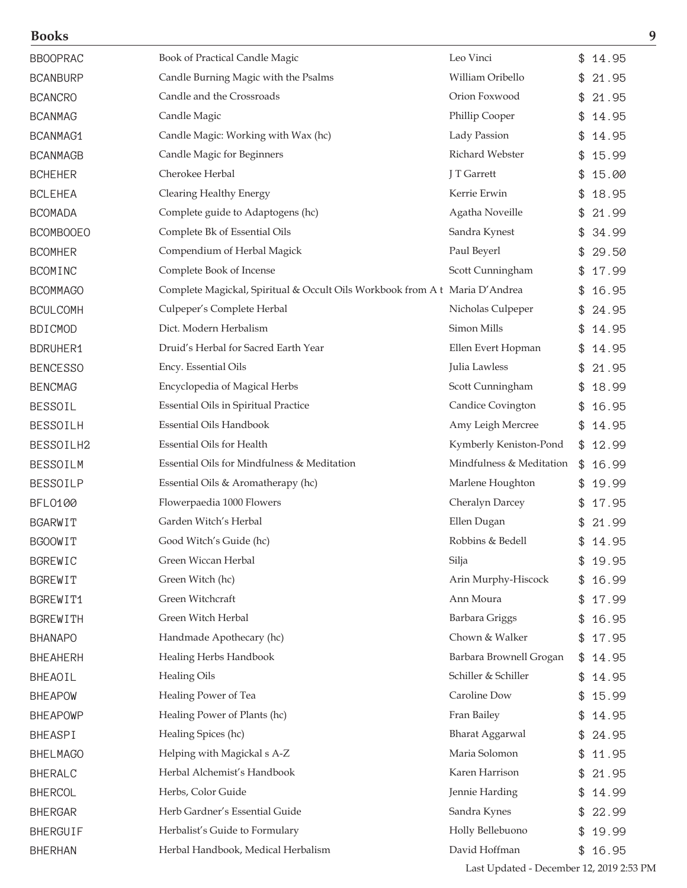| <b>Books</b>     |                                                                            |                          |     | 9       |
|------------------|----------------------------------------------------------------------------|--------------------------|-----|---------|
| <b>BBOOPRAC</b>  | Book of Practical Candle Magic                                             | Leo Vinci                |     | \$14.95 |
| <b>BCANBURP</b>  | Candle Burning Magic with the Psalms                                       | William Oribello         | \$. | 21.95   |
| <b>BCANCRO</b>   | Candle and the Crossroads                                                  | Orion Foxwood            | \$  | 21.95   |
| <b>BCANMAG</b>   | Candle Magic                                                               | Phillip Cooper           |     | 14.95   |
| BCANMAG1         | Candle Magic: Working with Wax (hc)                                        | Lady Passion             | \$  | 14.95   |
| <b>BCANMAGB</b>  | Candle Magic for Beginners                                                 | Richard Webster          | \$  | 15.99   |
| <b>BCHEHER</b>   | Cherokee Herbal                                                            | J T Garrett              | \$  | 15.00   |
| <b>BCLEHEA</b>   | Clearing Healthy Energy                                                    | Kerrie Erwin             |     | 18.95   |
| <b>BCOMADA</b>   | Complete guide to Adaptogens (hc)                                          | Agatha Noveille          | \$  | 21.99   |
| <b>BCOMBOOEO</b> | Complete Bk of Essential Oils                                              | Sandra Kynest            |     | 34.99   |
| <b>BCOMHER</b>   | Compendium of Herbal Magick                                                | Paul Beyerl              |     | 29.50   |
| <b>BCOMINC</b>   | Complete Book of Incense                                                   | Scott Cunningham         |     | 17.99   |
| <b>BCOMMAGO</b>  | Complete Magickal, Spiritual & Occult Oils Workbook from At Maria D'Andrea |                          | \$  | 16.95   |
| <b>BCULCOMH</b>  | Culpeper's Complete Herbal                                                 | Nicholas Culpeper        |     | 24.95   |
| <b>BDICMOD</b>   | Dict. Modern Herbalism                                                     | Simon Mills              |     | 14.95   |
| <b>BDRUHER1</b>  | Druid's Herbal for Sacred Earth Year                                       | Ellen Evert Hopman       |     | 14.95   |
| <b>BENCESSO</b>  | Ency. Essential Oils                                                       | Julia Lawless            | \$  | 21.95   |
| <b>BENCMAG</b>   | Encyclopedia of Magical Herbs                                              | Scott Cunningham         |     | 18.99   |
| <b>BESSOIL</b>   | <b>Essential Oils in Spiritual Practice</b>                                | Candice Covington        |     | 16.95   |
| <b>BESSOILH</b>  | <b>Essential Oils Handbook</b>                                             | Amy Leigh Mercree        | \$  | 14.95   |
| BESSOILH2        | Essential Oils for Health                                                  | Kymberly Keniston-Pond   |     | \$12.99 |
| <b>BESSOILM</b>  | Essential Oils for Mindfulness & Meditation                                | Mindfulness & Meditation |     | \$16.99 |
| <b>BESSOILP</b>  | Essential Oils & Aromatherapy (hc)                                         | Marlene Houghton         |     | 19.99   |
| <b>BFL0100</b>   | Flowerpaedia 1000 Flowers                                                  | Cheralyn Darcey          | \$  | 17.95   |
| <b>BGARWIT</b>   | Garden Witch's Herbal                                                      | Ellen Dugan              |     | \$21.99 |
| <b>BGOOWIT</b>   | Good Witch's Guide (hc)                                                    | Robbins & Bedell         |     | 14.95   |
| <b>BGREWIC</b>   | Green Wiccan Herbal                                                        | Silja                    |     | 19.95   |
| <b>BGREWIT</b>   | Green Witch (hc)                                                           | Arin Murphy-Hiscock      | \$  | 16.99   |
| BGREWIT1         | Green Witchcraft                                                           | Ann Moura                | \$  | 17.99   |
| <b>BGREWITH</b>  | Green Witch Herbal                                                         | Barbara Griggs           | \$  | 16.95   |
| <b>BHANAPO</b>   | Handmade Apothecary (hc)                                                   | Chown & Walker           |     | \$17.95 |
| <b>BHEAHERH</b>  | Healing Herbs Handbook                                                     | Barbara Brownell Grogan  |     | \$14.95 |
| BHEAOIL          | <b>Healing Oils</b>                                                        | Schiller & Schiller      |     | \$14.95 |
| <b>BHEAPOW</b>   | Healing Power of Tea                                                       | Caroline Dow             | \$  | 15.99   |
| <b>BHEAPOWP</b>  | Healing Power of Plants (hc)                                               | Fran Bailey              | \$  | 14.95   |
| BHEASPI          | Healing Spices (hc)                                                        | <b>Bharat Aggarwal</b>   | \$  | 24.95   |
| <b>BHELMAGO</b>  | Helping with Magickal s A-Z                                                | Maria Solomon            | \$  | 11.95   |
| <b>BHERALC</b>   | Herbal Alchemist's Handbook                                                | Karen Harrison           |     | \$21.95 |
| <b>BHERCOL</b>   | Herbs, Color Guide                                                         | Jennie Harding           |     | 14.99   |
| <b>BHERGAR</b>   | Herb Gardner's Essential Guide                                             | Sandra Kynes             |     | 22.99   |
| <b>BHERGUIF</b>  | Herbalist's Guide to Formulary                                             | Holly Bellebuono         |     | 19.99   |
| <b>BHERHAN</b>   | Herbal Handbook, Medical Herbalism                                         | David Hoffman            |     | \$16.95 |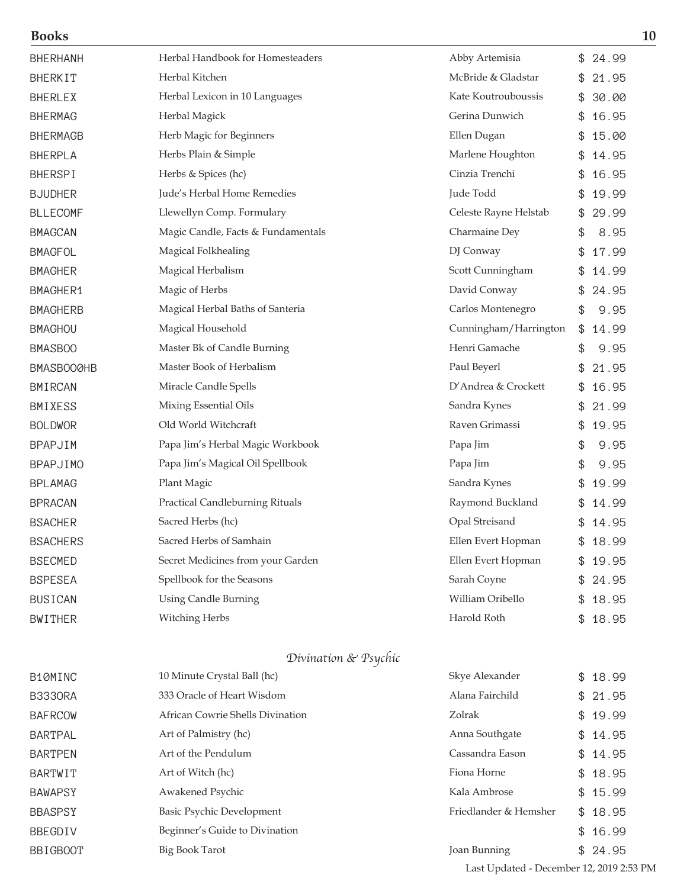|--|--|

| <b>Books</b>    |                                        |                       | 10          |
|-----------------|----------------------------------------|-----------------------|-------------|
| <b>BHERHANH</b> | Herbal Handbook for Homesteaders       | Abby Artemisia        | \$<br>24.99 |
| <b>BHERKIT</b>  | Herbal Kitchen                         | McBride & Gladstar    | 21.95       |
| <b>BHERLEX</b>  | Herbal Lexicon in 10 Languages         | Kate Koutrouboussis   | 30.00       |
| <b>BHERMAG</b>  | Herbal Magick                          | Gerina Dunwich        | \$<br>16.95 |
| <b>BHERMAGB</b> | Herb Magic for Beginners               | Ellen Dugan           | \$<br>15.00 |
| <b>BHERPLA</b>  | Herbs Plain & Simple                   | Marlene Houghton      | \$<br>14.95 |
| <b>BHERSPI</b>  | Herbs & Spices (hc)                    | Cinzia Trenchi        | 16.95       |
| <b>BJUDHER</b>  | Jude's Herbal Home Remedies            | Jude Todd             | 19.99       |
| <b>BLLECOMF</b> | Llewellyn Comp. Formulary              | Celeste Rayne Helstab | \$<br>29.99 |
| <b>BMAGCAN</b>  | Magic Candle, Facts & Fundamentals     | Charmaine Dey         | \$<br>8.95  |
| <b>BMAGFOL</b>  | Magical Folkhealing                    | DJ Conway             | 17.99       |
| <b>BMAGHER</b>  | Magical Herbalism                      | Scott Cunningham      | \$<br>14.99 |
| BMAGHER1        | Magic of Herbs                         | David Conway          | \$<br>24.95 |
| <b>BMAGHERB</b> | Magical Herbal Baths of Santeria       | Carlos Montenegro     | \$<br>9.95  |
| <b>BMAGHOU</b>  | Magical Household                      | Cunningham/Harrington | \$<br>14.99 |
| <b>BMASBOO</b>  | Master Bk of Candle Burning            | Henri Gamache         | \$<br>9.95  |
| BMASBOOØHB      | Master Book of Herbalism               | Paul Beyerl           | 21.95       |
| <b>BMIRCAN</b>  | Miracle Candle Spells                  | D'Andrea & Crockett   | 16.95       |
| BMIXESS         | Mixing Essential Oils                  | Sandra Kynes          | 21.99       |
| <b>BOLDWOR</b>  | Old World Witchcraft                   | Raven Grimassi        | \$<br>19.95 |
| <b>BPAPJIM</b>  | Papa Jim's Herbal Magic Workbook       | Papa Jim              | \$<br>9.95  |
| <b>BPAPJIMO</b> | Papa Jim's Magical Oil Spellbook       | Papa Jim              | \$<br>9.95  |
| <b>BPLAMAG</b>  | Plant Magic                            | Sandra Kynes          | 19.99       |
| <b>BPRACAN</b>  | <b>Practical Candleburning Rituals</b> | Raymond Buckland      | 14.99       |
| <b>BSACHER</b>  | Sacred Herbs (hc)                      | Opal Streisand        | \$<br>14.95 |
| <b>BSACHERS</b> | Sacred Herbs of Samhain                | Ellen Evert Hopman    | \$<br>18.99 |
| <b>BSECMED</b>  | Secret Medicines from your Garden      | Ellen Evert Hopman    | 19.95       |
| <b>BSPESEA</b>  | Spellbook for the Seasons              | Sarah Coyne           | \$<br>24.95 |
| <b>BUSICAN</b>  | <b>Using Candle Burning</b>            | William Oribello      | \$<br>18.95 |
| <b>BWITHER</b>  | Witching Herbs                         | Harold Roth           | \$18.95     |
|                 | Divination & Psychic                   |                       |             |
| B10MINC         | 10 Minute Crystal Ball (hc)            | Skye Alexander        | \$18.99     |
| <b>B3330RA</b>  | 333 Oracle of Heart Wisdom             | Alana Fairchild       | 21.95       |
| <b>BAFRCOW</b>  | African Cowrie Shells Divination       | Zolrak                | 19.99       |
| <b>BARTPAL</b>  | Art of Palmistry (hc)                  | Anna Southgate        | \$14.95     |

BARTPEN Art of the Pendulum Cassandra Eason \$ 14.95 BARTWIT Art of Witch (hc) and Electronic Estate and Triona Horne 4 and 5 18.95 BAWAPSY **Awakened Psychic Awakened Psychic Kala Ambrose** \$ 15.99 BBASPSY Basic Psychic Development Friedlander & Hemsher \$18.95

BBEGDIV Beginner's Guide to Divination **6 16.99** \$ 16.99 BBIGBOOT Big Book Tarot Big Book Tarot Bunning \$ 24.95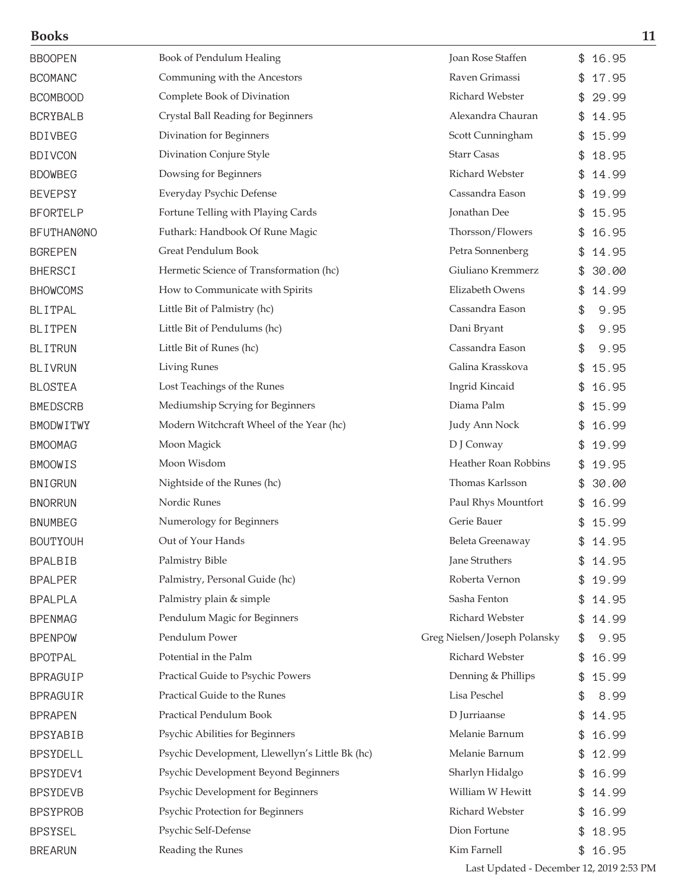| <b>Books</b>      |                                                 |                              | 11          |
|-------------------|-------------------------------------------------|------------------------------|-------------|
| <b>BBOOPEN</b>    | Book of Pendulum Healing                        | Joan Rose Staffen            | \$<br>16.95 |
| <b>BCOMANC</b>    | Communing with the Ancestors                    | Raven Grimassi               | 17.95       |
| <b>BCOMBOOD</b>   | Complete Book of Divination                     | Richard Webster              | 29.99       |
| <b>BCRYBALB</b>   | Crystal Ball Reading for Beginners              | Alexandra Chauran            | 14.95       |
| <b>BDIVBEG</b>    | Divination for Beginners                        | Scott Cunningham             | \$<br>15.99 |
| <b>BDIVCON</b>    | Divination Conjure Style                        | <b>Starr Casas</b>           | \$<br>18.95 |
| <b>BDOWBEG</b>    | Dowsing for Beginners                           | Richard Webster              | 14.99       |
| <b>BEVEPSY</b>    | Everyday Psychic Defense                        | Cassandra Eason              | 19.99       |
| <b>BFORTELP</b>   | Fortune Telling with Playing Cards              | Jonathan Dee                 | 15.95       |
| <b>BFUTHANØNO</b> | Futhark: Handbook Of Rune Magic                 | Thorsson/Flowers             | 16.95       |
| <b>BGREPEN</b>    | Great Pendulum Book                             | Petra Sonnenberg             | 14.95       |
| <b>BHERSCI</b>    | Hermetic Science of Transformation (hc)         | Giuliano Kremmerz            | \$<br>30.00 |
| <b>BHOWCOMS</b>   | How to Communicate with Spirits                 | Elizabeth Owens              | \$<br>14.99 |
| <b>BLITPAL</b>    | Little Bit of Palmistry (hc)                    | Cassandra Eason              | \$<br>9.95  |
| <b>BLITPEN</b>    | Little Bit of Pendulums (hc)                    | Dani Bryant                  | \$<br>9.95  |
| <b>BLITRUN</b>    | Little Bit of Runes (hc)                        | Cassandra Eason              | \$<br>9.95  |
| <b>BLIVRUN</b>    | <b>Living Runes</b>                             | Galina Krasskova             | 15.95       |
| <b>BLOSTEA</b>    | Lost Teachings of the Runes                     | Ingrid Kincaid               | 16.95       |
| <b>BMEDSCRB</b>   | Mediumship Scrying for Beginners                | Diama Palm                   | 15.99       |
| <b>BMODWITWY</b>  | Modern Witchcraft Wheel of the Year (hc)        | Judy Ann Nock                | \$<br>16.99 |
| <b>BMOOMAG</b>    | Moon Magick                                     | D J Conway                   | \$<br>19.99 |
| <b>BMOOWIS</b>    | Moon Wisdom                                     | Heather Roan Robbins         | \$<br>19.95 |
| <b>BNIGRUN</b>    | Nightside of the Runes (hc)                     | Thomas Karlsson              | 30.00       |
| <b>BNORRUN</b>    | Nordic Runes                                    | Paul Rhys Mountfort          | \$<br>16.99 |
| <b>BNUMBEG</b>    | Numerology for Beginners                        | Gerie Bauer                  | \$<br>15.99 |
| <b>BOUTYOUH</b>   | Out of Your Hands                               | Beleta Greenaway             | 14.95       |
| <b>BPALBIB</b>    | Palmistry Bible                                 | Jane Struthers               | 14.95       |
| <b>BPALPER</b>    | Palmistry, Personal Guide (hc)                  | Roberta Vernon               | \$<br>19.99 |
| <b>BPALPLA</b>    | Palmistry plain & simple                        | Sasha Fenton                 | \$<br>14.95 |
| <b>BPENMAG</b>    | Pendulum Magic for Beginners                    | Richard Webster              | \$<br>14.99 |
| <b>BPENPOW</b>    | Pendulum Power                                  | Greg Nielsen/Joseph Polansky | \$<br>9.95  |
| <b>BPOTPAL</b>    | Potential in the Palm                           | Richard Webster              | \$<br>16.99 |
| <b>BPRAGUIP</b>   | Practical Guide to Psychic Powers               | Denning & Phillips           | 15.99       |
| <b>BPRAGUIR</b>   | Practical Guide to the Runes                    | Lisa Peschel                 | \$<br>8.99  |
| <b>BPRAPEN</b>    | Practical Pendulum Book                         | D Jurriaanse                 | \$<br>14.95 |
| <b>BPSYABIB</b>   | Psychic Abilities for Beginners                 | Melanie Barnum               | \$<br>16.99 |
| <b>BPSYDELL</b>   | Psychic Development, Llewellyn's Little Bk (hc) | Melanie Barnum               | \$<br>12.99 |
| BPSYDEV1          | Psychic Development Beyond Beginners            | Sharlyn Hidalgo              | 16.99       |
| <b>BPSYDEVB</b>   | Psychic Development for Beginners               | William W Hewitt             | 14.99       |
| <b>BPSYPROB</b>   | Psychic Protection for Beginners                | Richard Webster              | \$<br>16.99 |
| <b>BPSYSEL</b>    | Psychic Self-Defense                            | Dion Fortune                 | 18.95       |
| <b>BREARUN</b>    | Reading the Runes                               | Kim Farnell                  | \$16.95     |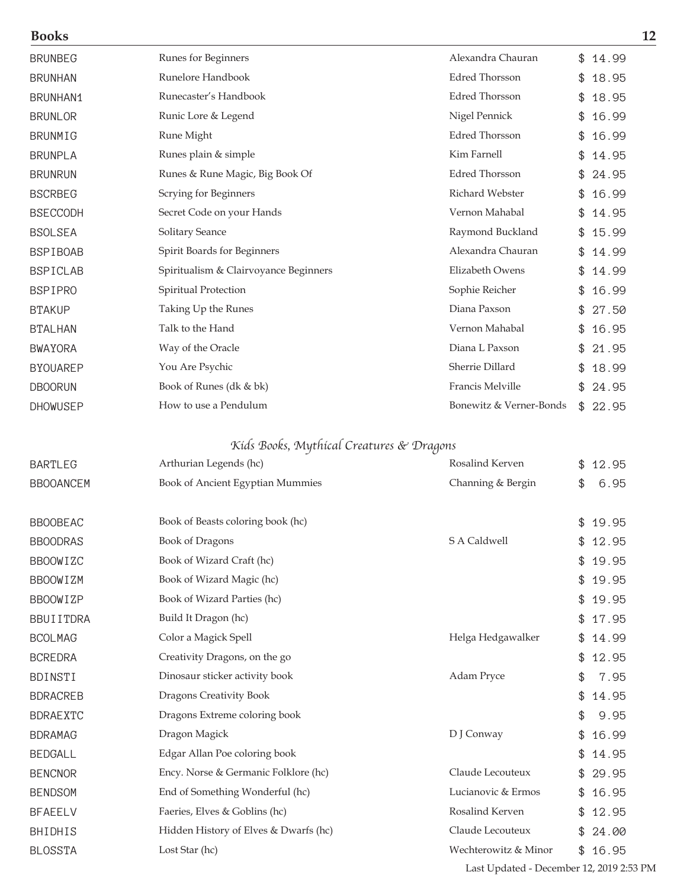| \$14.99<br>18.95<br>18.95<br>16.99 |
|------------------------------------|
|                                    |
|                                    |
|                                    |
|                                    |
| 16.99                              |
| 14.95                              |
| 24.95                              |
| 16.99                              |
| 14.95                              |
| 15.99                              |
| 14.99                              |
| 14.99                              |
| 16.99                              |
| 27.50                              |
| 16.95                              |
| 21.95                              |
| 18.99                              |
| 24.95                              |
| 22.95                              |
|                                    |
| 12.95                              |
| 6.95                               |
|                                    |
| \$19.95                            |
| 12.95                              |
| 19.95                              |
| 19.95                              |
| 19.95                              |
| 17.95                              |
| 14.99                              |
| 12.95                              |
| 7.95                               |
| 14.95                              |
| 9.95                               |
| 16.99                              |
| 14.95                              |
| 29.95                              |
| 16.95                              |
| 12.95                              |
|                                    |
| 24.00                              |
|                                    |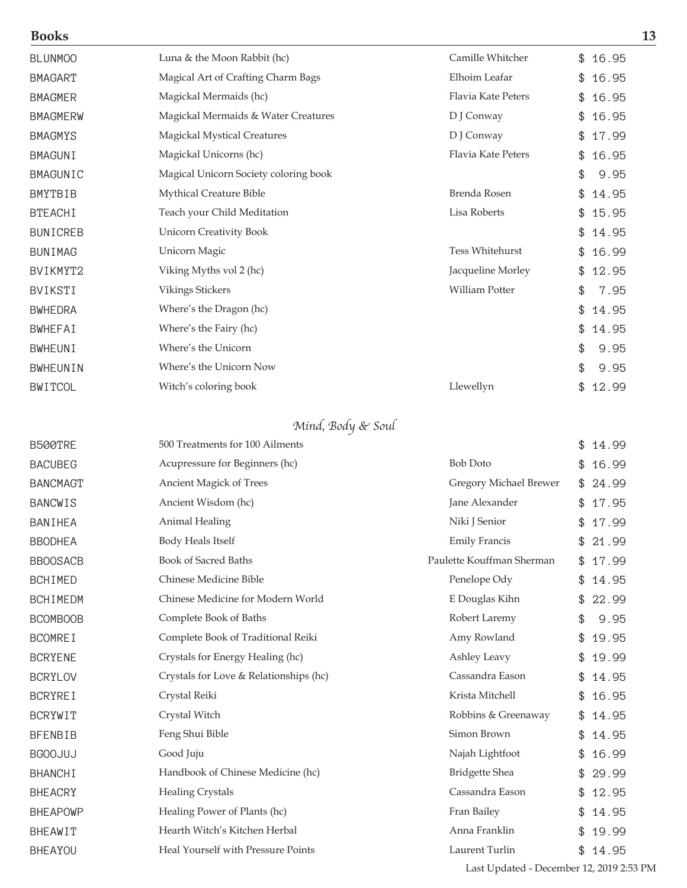| <b>Books</b>    |                                       |                           | 13          |
|-----------------|---------------------------------------|---------------------------|-------------|
| <b>BLUNMOO</b>  | Luna & the Moon Rabbit (hc)           | Camille Whitcher          | \$16.95     |
| <b>BMAGART</b>  | Magical Art of Crafting Charm Bags    | Elhoim Leafar             | \$16.95     |
| <b>BMAGMER</b>  | Magickal Mermaids (hc)                | Flavia Kate Peters        | \$16.95     |
| <b>BMAGMERW</b> | Magickal Mermaids & Water Creatures   | D J Conway                | \$16.95     |
| <b>BMAGMYS</b>  | <b>Magickal Mystical Creatures</b>    | D J Conway                | \$17.99     |
| <b>BMAGUNI</b>  | Magickal Unicorns (hc)                | <b>Flavia Kate Peters</b> | \$16.95     |
| <b>BMAGUNIC</b> | Magical Unicorn Society coloring book |                           | \$<br>9.95  |
| <b>BMYTBIB</b>  | Mythical Creature Bible               | Brenda Rosen              | \$14.95     |
| <b>BTEACHI</b>  | Teach your Child Meditation           | Lisa Roberts              | \$15.95     |
| <b>BUNICREB</b> | <b>Unicorn Creativity Book</b>        |                           | \$14.95     |
| <b>BUNIMAG</b>  | Unicorn Magic                         | <b>Tess Whitehurst</b>    | \$16.99     |
| BVIKMYT2        | Viking Myths vol 2 (hc)               | Jacqueline Morley         | \$12.95     |
| <b>BVIKSTI</b>  | Vikings Stickers                      | <b>William Potter</b>     | 7.95<br>\$  |
| <b>BWHEDRA</b>  | Where's the Dragon (hc)               |                           | \$<br>14.95 |
| <b>BWHEFAI</b>  | Where's the Fairy (hc)                |                           | 14.95<br>\$ |
| <b>BWHEUNI</b>  | Where's the Unicorn                   |                           | \$<br>9.95  |
| <b>BWHEUNIN</b> | Where's the Unicorn Now               |                           | \$<br>9.95  |
| <b>BWITCOL</b>  | Witch's coloring book                 | Llewellyn                 | 12.99<br>\$ |

# Mind, Body & Soul

| B500TRE         | 500 Treatments for 100 Ailments        |                           | \$<br>14.99 |  |
|-----------------|----------------------------------------|---------------------------|-------------|--|
| <b>BACUBEG</b>  | Acupressure for Beginners (hc)         | <b>Bob Doto</b>           | 16.99<br>\$ |  |
| <b>BANCMAGT</b> | Ancient Magick of Trees                | Gregory Michael Brewer    | 24.99<br>\$ |  |
| <b>BANCWIS</b>  | Ancient Wisdom (hc)                    | Jane Alexander            | 17.95<br>\$ |  |
| BANIHEA         | Animal Healing                         | Niki J Senior             | 17.99<br>\$ |  |
| <b>BBODHEA</b>  | Body Heals Itself                      | <b>Emily Francis</b>      | 21.99<br>\$ |  |
| <b>BBOOSACB</b> | <b>Book of Sacred Baths</b>            | Paulette Kouffman Sherman | 17.99<br>\$ |  |
| <b>BCHIMED</b>  | Chinese Medicine Bible                 | Penelope Ody              | 14.95<br>\$ |  |
| <b>BCHIMEDM</b> | Chinese Medicine for Modern World      | E Douglas Kihn            | 22.99<br>\$ |  |
| <b>BCOMBOOB</b> | Complete Book of Baths                 | Robert Laremy             | \$<br>9.95  |  |
| <b>BCOMREI</b>  | Complete Book of Traditional Reiki     | Amy Rowland               | \$<br>19.95 |  |
| <b>BCRYENE</b>  | Crystals for Energy Healing (hc)       | Ashley Leavy              | 19.99<br>\$ |  |
| <b>BCRYLOV</b>  | Crystals for Love & Relationships (hc) | Cassandra Eason           | \$<br>14.95 |  |
| <b>BCRYREI</b>  | Crystal Reiki                          | Krista Mitchell           | 16.95<br>\$ |  |
| <b>BCRYWIT</b>  | Crystal Witch                          | Robbins & Greenaway       | 14.95<br>\$ |  |
| <b>BFENBIB</b>  | Feng Shui Bible                        | Simon Brown               | 14.95<br>\$ |  |
| <b>BGOOJUJ</b>  | Good Juju                              | Najah Lightfoot           | 16.99<br>\$ |  |
| <b>BHANCHI</b>  | Handbook of Chinese Medicine (hc)      | <b>Bridgette Shea</b>     | \$<br>29.99 |  |
| <b>BHEACRY</b>  | <b>Healing Crystals</b>                | Cassandra Eason           | \$<br>12.95 |  |
| <b>BHEAPOWP</b> | Healing Power of Plants (hc)           | Fran Bailey               | 14.95       |  |
| <b>BHEAWIT</b>  | Hearth Witch's Kitchen Herbal          | Anna Franklin             | 19.99<br>\$ |  |
| <b>BHEAYOU</b>  | Heal Yourself with Pressure Points     | Laurent Turlin            | \$<br>14.95 |  |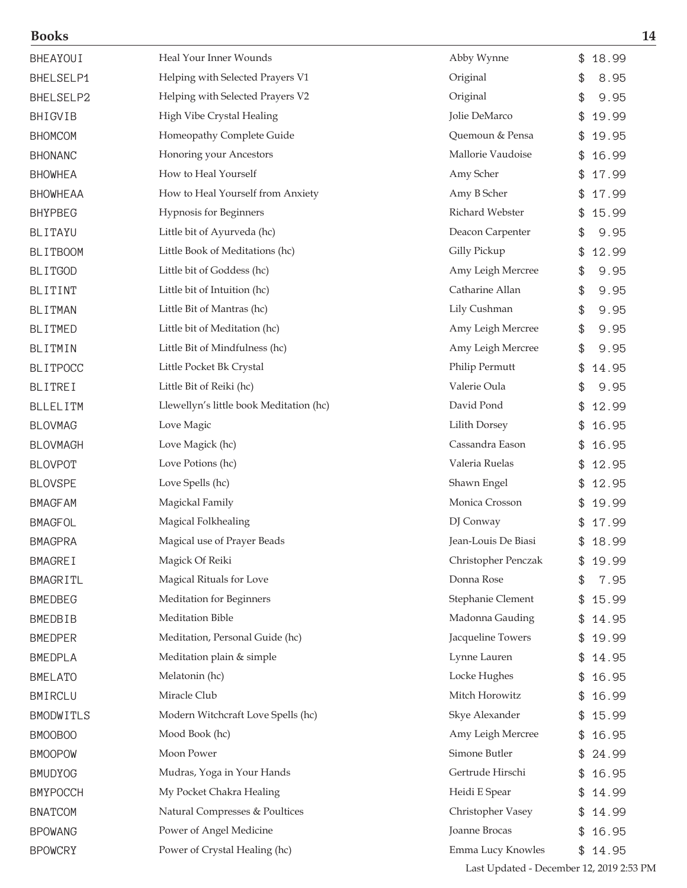| BHEAYOUI         | Heal Your Inner Wounds                  | Abby Wynne          | 18.99<br>\$ |
|------------------|-----------------------------------------|---------------------|-------------|
| BHELSELP1        | Helping with Selected Prayers V1        | Original            | \$<br>8.95  |
| BHELSELP2        | Helping with Selected Prayers V2        | Original            | \$<br>9.95  |
| <b>BHIGVIB</b>   | High Vibe Crystal Healing               | Jolie DeMarco       | 19.99<br>\$ |
| <b>BHOMCOM</b>   | Homeopathy Complete Guide               | Quemoun & Pensa     | 19.95       |
| <b>BHONANC</b>   | Honoring your Ancestors                 | Mallorie Vaudoise   | 16.99<br>\$ |
| <b>BHOWHEA</b>   | How to Heal Yourself                    | Amy Scher           | 17.99<br>\$ |
| <b>BHOWHEAA</b>  | How to Heal Yourself from Anxiety       | Amy B Scher         | 17.99<br>\$ |
| <b>BHYPBEG</b>   | Hypnosis for Beginners                  | Richard Webster     | 15.99<br>\$ |
| <b>BLITAYU</b>   | Little bit of Ayurveda (hc)             | Deacon Carpenter    | \$<br>9.95  |
| <b>BLITBOOM</b>  | Little Book of Meditations (hc)         | Gilly Pickup        | 12.99<br>\$ |
| <b>BLITGOD</b>   | Little bit of Goddess (hc)              | Amy Leigh Mercree   | 9.95<br>\$  |
| BLITINT          | Little bit of Intuition (hc)            | Catharine Allan     | \$<br>9.95  |
| <b>BLITMAN</b>   | Little Bit of Mantras (hc)              | Lily Cushman        | \$<br>9.95  |
| <b>BLITMED</b>   | Little bit of Meditation (hc)           | Amy Leigh Mercree   | \$<br>9.95  |
| BLITMIN          | Little Bit of Mindfulness (hc)          | Amy Leigh Mercree   | \$<br>9.95  |
| <b>BLITPOCC</b>  | Little Pocket Bk Crystal                | Philip Permutt      | 14.95<br>\$ |
| <b>BLITREI</b>   | Little Bit of Reiki (hc)                | Valerie Oula        | \$<br>9.95  |
| <b>BLLELITM</b>  | Llewellyn's little book Meditation (hc) | David Pond          | 12.99<br>\$ |
| <b>BLOVMAG</b>   | Love Magic                              | Lilith Dorsey       | 16.95<br>\$ |
| <b>BLOVMAGH</b>  | Love Magick (hc)                        | Cassandra Eason     | 16.95<br>\$ |
| <b>BLOVPOT</b>   | Love Potions (hc)                       | Valeria Ruelas      | 12.95<br>\$ |
| <b>BLOVSPE</b>   | Love Spells (hc)                        | Shawn Engel         | 12.95<br>\$ |
| <b>BMAGFAM</b>   | Magickal Family                         | Monica Crosson      | 19.99<br>\$ |
| <b>BMAGFOL</b>   | Magical Folkhealing                     | DJ Conway           | 17.99<br>\$ |
| <b>BMAGPRA</b>   | Magical use of Prayer Beads             | Jean-Louis De Biasi | \$<br>18.99 |
| <b>BMAGREI</b>   | Magick Of Reiki                         | Christopher Penczak | 19.99       |
| <b>BMAGRITL</b>  | Magical Rituals for Love                | Donna Rose          | 7.95<br>\$  |
| <b>BMEDBEG</b>   | Meditation for Beginners                | Stephanie Clement   | 15.99<br>\$ |
| <b>BMEDBIB</b>   | Meditation Bible                        | Madonna Gauding     | 14.95<br>\$ |
| <b>BMEDPER</b>   | Meditation, Personal Guide (hc)         | Jacqueline Towers   | 19.99<br>\$ |
| <b>BMEDPLA</b>   | Meditation plain & simple               | Lynne Lauren        | 14.95<br>\$ |
| <b>BMELATO</b>   | Melatonin (hc)                          | Locke Hughes        | 16.95<br>\$ |
| BMIRCLU          | Miracle Club                            | Mitch Horowitz      | 16.99<br>\$ |
| <b>BMODWITLS</b> | Modern Witchcraft Love Spells (hc)      | Skye Alexander      | 15.99<br>\$ |
| BMOOBOO          | Mood Book (hc)                          | Amy Leigh Mercree   | 16.95       |
| <b>BMOOPOW</b>   | Moon Power                              | Simone Butler       | 24.99<br>\$ |
| <b>BMUDYOG</b>   | Mudras, Yoga in Your Hands              | Gertrude Hirschi    | 16.95<br>\$ |
| <b>BMYPOCCH</b>  | My Pocket Chakra Healing                | Heidi E Spear       | 14.99<br>\$ |
| <b>BNATCOM</b>   | Natural Compresses & Poultices          | Christopher Vasey   | 14.99<br>\$ |
| <b>BPOWANG</b>   | Power of Angel Medicine                 | Joanne Brocas       | 16.95<br>\$ |
| <b>BPOWCRY</b>   | Power of Crystal Healing (hc)           | Emma Lucy Knowles   | \$14.95     |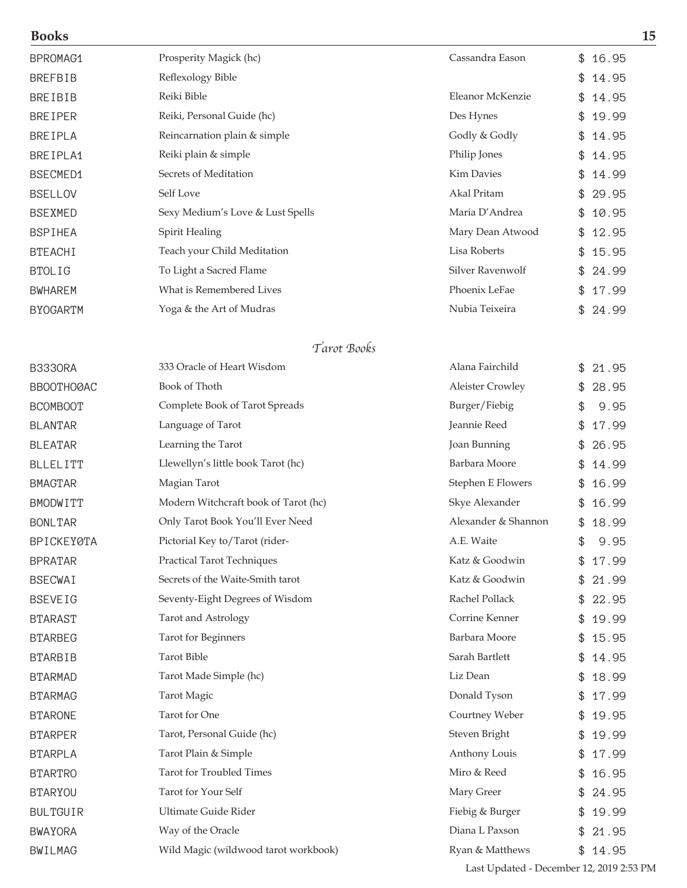| BPROMAG1        | Prosperity Magick (hc)           | Cassandra Eason   | \$16.95     |
|-----------------|----------------------------------|-------------------|-------------|
| <b>BREFBIB</b>  | Reflexology Bible                |                   | \$<br>14.95 |
| <b>BREIBIB</b>  | Reiki Bible                      | Eleanor McKenzie  | \$<br>14.95 |
| <b>BREIPER</b>  | Reiki, Personal Guide (hc)       | Des Hynes         | \$<br>19.99 |
| <b>BREIPLA</b>  | Reincarnation plain & simple     | Godly & Godly     | \$14.95     |
| BREIPLA1        | Reiki plain & simple             | Philip Jones      | \$14.95     |
| BSECMED1        | Secrets of Meditation            | <b>Kim Davies</b> | \$<br>14.99 |
| <b>BSELLOV</b>  | Self Love                        | Akal Pritam       | \$29.95     |
| <b>BSEXMED</b>  | Sexy Medium's Love & Lust Spells | Maria D'Andrea    | \$10.95     |
| <b>BSPIHEA</b>  | Spirit Healing                   | Mary Dean Atwood  | \$<br>12.95 |
| <b>BTEACHI</b>  | Teach your Child Meditation      | Lisa Roberts      | \$<br>15.95 |
| <b>BTOLIG</b>   | To Light a Sacred Flame          | Silver Ravenwolf  | \$24.99     |
| <b>BWHAREM</b>  | What is Remembered Lives         | Phoenix LeFae     | \$<br>17.99 |
| <b>BYOGARTM</b> | Yoga & the Art of Mudras         | Nubia Teixeira    | \$24.99     |

### Tarot Books

| <b>B3330RA</b>    | 333 Oracle of Heart Wisdom           | Alana Fairchild     | 21.95<br>\$ |
|-------------------|--------------------------------------|---------------------|-------------|
| BBOOTHOØAC        | Book of Thoth                        | Aleister Crowley    | 28.95<br>\$ |
| <b>BCOMBOOT</b>   | Complete Book of Tarot Spreads       | Burger/Fiebig       | 9.95<br>\$  |
| <b>BLANTAR</b>    | Language of Tarot                    | Jeannie Reed        | 17.99<br>\$ |
| <b>BLEATAR</b>    | Learning the Tarot                   | Joan Bunning        | 26.95       |
| <b>BLLELITT</b>   | Llewellyn's little book Tarot (hc)   | Barbara Moore       | 14.99       |
| <b>BMAGTAR</b>    | Magian Tarot                         | Stephen E Flowers   | 16.99       |
| BMODWITT          | Modern Witchcraft book of Tarot (hc) | Skye Alexander      | 16.99       |
| <b>BONLTAR</b>    | Only Tarot Book You'll Ever Need     | Alexander & Shannon | 18.99<br>\$ |
| <b>BPICKEY0TA</b> | Pictorial Key to/Tarot (rider-       | A.E. Waite          | 9.95<br>\$  |
| <b>BPRATAR</b>    | <b>Practical Tarot Techniques</b>    | Katz & Goodwin      | 17.99       |
| <b>BSECWAI</b>    | Secrets of the Waite-Smith tarot     | Katz & Goodwin      | 21.99       |
| <b>BSEVEIG</b>    | Seventy-Eight Degrees of Wisdom      | Rachel Pollack      | 22.95       |
| <b>BTARAST</b>    | Tarot and Astrology                  | Corrine Kenner      | 19.99       |
| <b>BTARBEG</b>    | <b>Tarot</b> for Beginners           | Barbara Moore       | 15.95       |
| <b>BTARBIB</b>    | <b>Tarot Bible</b>                   | Sarah Bartlett      | 14.95<br>\$ |
| <b>BTARMAD</b>    | Tarot Made Simple (hc)               | Liz Dean            | 18.99<br>\$ |
| <b>BTARMAG</b>    | Tarot Magic                          | Donald Tyson        | 17.99       |
| <b>BTARONE</b>    | <b>Tarot</b> for One                 | Courtney Weber      | 19.95       |
| <b>BTARPER</b>    | Tarot, Personal Guide (hc)           | Steven Bright       | 19.99       |
| <b>BTARPLA</b>    | Tarot Plain & Simple                 | Anthony Louis       | 17.99       |
| <b>BTARTRO</b>    | <b>Tarot for Troubled Times</b>      | Miro & Reed         | 16.95       |
| <b>BTARYOU</b>    | Tarot for Your Self                  | Mary Greer          | 24.95       |
| <b>BULTGUIR</b>   | Ultimate Guide Rider                 | Fiebig & Burger     | 19.99       |
| <b>BWAYORA</b>    | Way of the Oracle                    | Diana L Paxson      | 21.95       |
| <b>BWILMAG</b>    | Wild Magic (wildwood tarot workbook) | Ryan & Matthews     | \$<br>14.95 |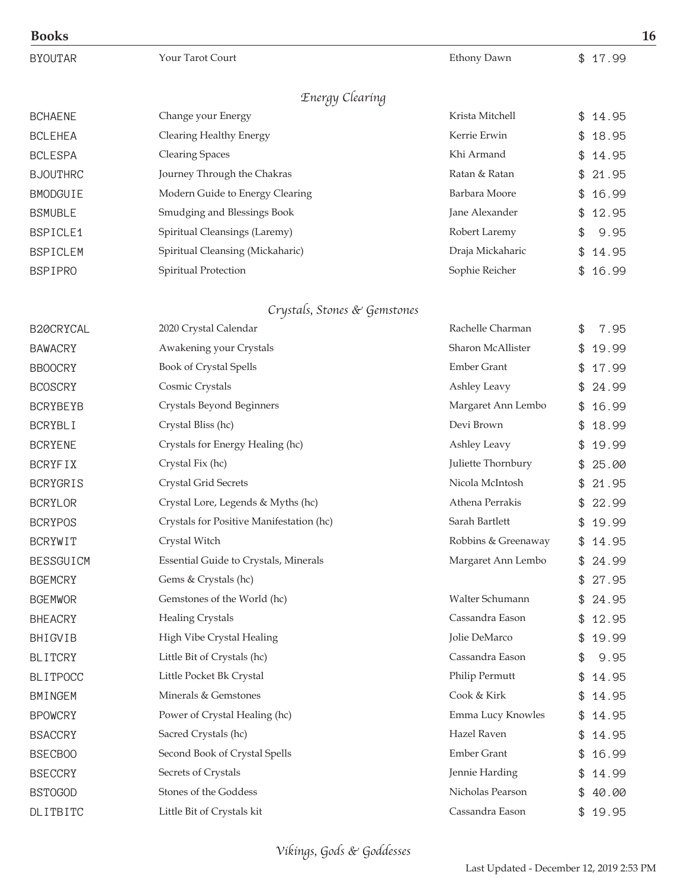| <b>Books</b>     |                                          |                     | 16          |
|------------------|------------------------------------------|---------------------|-------------|
| <b>BYOUTAR</b>   | Your Tarot Court                         | Ethony Dawn         | \$17.99     |
|                  | Energy Clearing                          |                     |             |
| <b>BCHAENE</b>   | Change your Energy                       | Krista Mitchell     | 14.95<br>\$ |
| <b>BCLEHEA</b>   | Clearing Healthy Energy                  | Kerrie Erwin        | 18.95<br>\$ |
| <b>BCLESPA</b>   | <b>Clearing Spaces</b>                   | Khi Armand          | 14.95       |
| <b>BJOUTHRC</b>  | Journey Through the Chakras              | Ratan & Ratan       | 21.95       |
| <b>BMODGUIE</b>  | Modern Guide to Energy Clearing          | Barbara Moore       | 16.99       |
| <b>BSMUBLE</b>   | Smudging and Blessings Book              | Jane Alexander      | 12.95<br>\$ |
| BSPICLE1         | Spiritual Cleansings (Laremy)            | Robert Laremy       | 9.95<br>\$  |
| <b>BSPICLEM</b>  | Spiritual Cleansing (Mickaharic)         | Draja Mickaharic    | 14.95<br>\$ |
| <b>BSPIPRO</b>   | Spiritual Protection                     | Sophie Reicher      | \$<br>16.99 |
|                  | Crystals, Stones & Gemstones             |                     |             |
| B20CRYCAL        | 2020 Crystal Calendar                    | Rachelle Charman    | \$<br>7.95  |
| <b>BAWACRY</b>   | Awakening your Crystals                  | Sharon McAllister   | \$<br>19.99 |
| <b>BBOOCRY</b>   | <b>Book of Crystal Spells</b>            | <b>Ember Grant</b>  | 17.99       |
| <b>BCOSCRY</b>   | Cosmic Crystals                          | Ashley Leavy        | 24.99       |
| <b>BCRYBEYB</b>  | Crystals Beyond Beginners                | Margaret Ann Lembo  | 16.99       |
| <b>BCRYBLI</b>   | Crystal Bliss (hc)                       | Devi Brown          | 18.99<br>\$ |
| <b>BCRYENE</b>   | Crystals for Energy Healing (hc)         | Ashley Leavy        | 19.99<br>\$ |
| <b>BCRYFIX</b>   | Crystal Fix (hc)                         | Juliette Thornbury  | 25.00<br>\$ |
| <b>BCRYGRIS</b>  | Crystal Grid Secrets                     | Nicola McIntosh     | 21.95       |
| <b>BCRYLOR</b>   | Crystal Lore, Legends & Myths (hc)       | Athena Perrakis     | 22.99<br>\$ |
| <b>BCRYPOS</b>   | Crystals for Positive Manifestation (hc) | Sarah Bartlett      | 19.99<br>\$ |
| <b>BCRYWIT</b>   | Crystal Witch                            | Robbins & Greenaway | \$<br>14.95 |
| <b>BESSGUICM</b> | Essential Guide to Crystals, Minerals    | Margaret Ann Lembo  | 24.99       |
| <b>BGEMCRY</b>   | Gems & Crystals (hc)                     |                     | 27.95<br>\$ |
| <b>BGEMWOR</b>   | Gemstones of the World (hc)              | Walter Schumann     | 24.95<br>\$ |
| <b>BHEACRY</b>   | <b>Healing Crystals</b>                  | Cassandra Eason     | 12.95       |
| BHIGVIB          | High Vibe Crystal Healing                | Jolie DeMarco       | 19.99       |
| <b>BLITCRY</b>   | Little Bit of Crystals (hc)              | Cassandra Eason     | 9.95<br>\$  |
| <b>BLITPOCC</b>  | Little Pocket Bk Crystal                 | Philip Permutt      | 14.95<br>\$ |
| <b>BMINGEM</b>   | Minerals & Gemstones                     | Cook & Kirk         | 14.95       |
| <b>BPOWCRY</b>   | Power of Crystal Healing (hc)            | Emma Lucy Knowles   | 14.95       |
| <b>BSACCRY</b>   | Sacred Crystals (hc)                     | Hazel Raven         | 14.95<br>\$ |
| <b>BSECBOO</b>   | Second Book of Crystal Spells            | <b>Ember Grant</b>  | 16.99<br>\$ |
| <b>BSECCRY</b>   | Secrets of Crystals                      | Jennie Harding      | 14.99       |
| <b>BSTOGOD</b>   | Stones of the Goddess                    | Nicholas Pearson    | 40.00<br>\$ |
| DLITBITC         | Little Bit of Crystals kit               | Cassandra Eason     | \$19.95     |

Vikings, Gods & Goddesses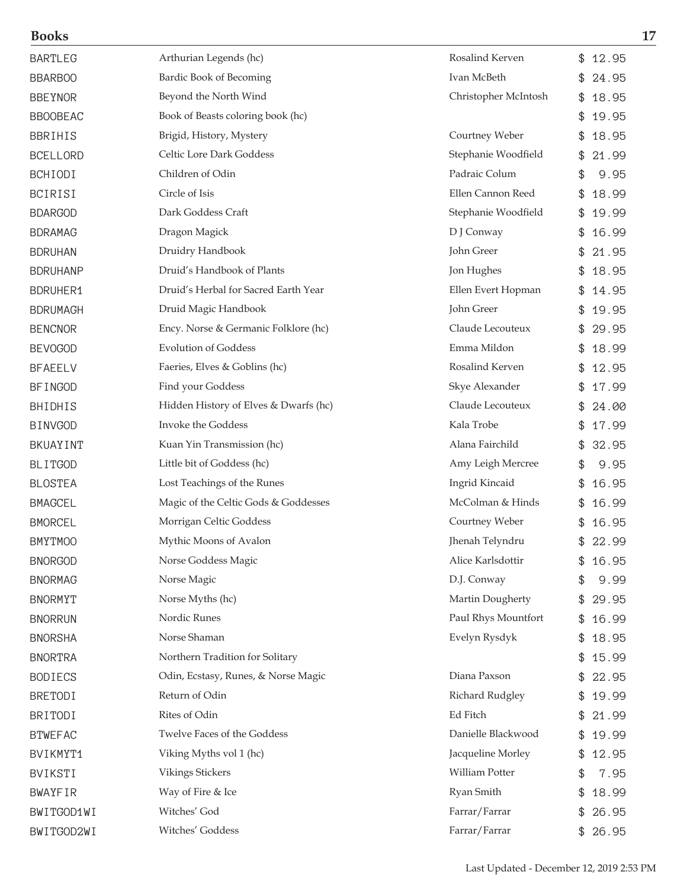| <b>Books</b>    |                                       |                      | 17           |
|-----------------|---------------------------------------|----------------------|--------------|
| <b>BARTLEG</b>  | Arthurian Legends (hc)                | Rosalind Kerven      | \$12.95      |
| <b>BBARBOO</b>  | Bardic Book of Becoming               | Ivan McBeth          | 24.95<br>\$. |
| <b>BBEYNOR</b>  | Beyond the North Wind                 | Christopher McIntosh | 18.95        |
| <b>BBOOBEAC</b> | Book of Beasts coloring book (hc)     |                      | 19.95        |
| <b>BBRIHIS</b>  | Brigid, History, Mystery              | Courtney Weber       | 18.95<br>\$  |
| <b>BCELLORD</b> | Celtic Lore Dark Goddess              | Stephanie Woodfield  | 21.99<br>\$  |
| <b>BCHIODI</b>  | Children of Odin                      | Padraic Colum        | \$<br>9.95   |
| <b>BCIRISI</b>  | Circle of Isis                        | Ellen Cannon Reed    | 18.99        |
| <b>BDARGOD</b>  | Dark Goddess Craft                    | Stephanie Woodfield  | 19.99<br>\$  |
| <b>BDRAMAG</b>  | Dragon Magick                         | D J Conway           | 16.99        |
| <b>BDRUHAN</b>  | Druidry Handbook                      | John Greer           | 21.95        |
| <b>BDRUHANP</b> | Druid's Handbook of Plants            | Jon Hughes           | 18.95        |
| <b>BDRUHER1</b> | Druid's Herbal for Sacred Earth Year  | Ellen Evert Hopman   | 14.95<br>\$  |
| <b>BDRUMAGH</b> | Druid Magic Handbook                  | John Greer           | 19.95        |
| <b>BENCNOR</b>  | Ency. Norse & Germanic Folklore (hc)  | Claude Lecouteux     | 29.95        |
| <b>BEVOGOD</b>  | <b>Evolution of Goddess</b>           | Emma Mildon          | 18.99<br>\$  |
| <b>BFAEELV</b>  | Faeries, Elves & Goblins (hc)         | Rosalind Kerven      | 12.95        |
| <b>BFINGOD</b>  | Find your Goddess                     | Skye Alexander       | 17.99        |
| BHIDHIS         | Hidden History of Elves & Dwarfs (hc) | Claude Lecouteux     | 24.00        |
| <b>BINVGOD</b>  | Invoke the Goddess                    | Kala Trobe           | 17.99        |
| BKUAYINT        | Kuan Yin Transmission (hc)            | Alana Fairchild      | 32.95<br>\$  |
| <b>BLITGOD</b>  | Little bit of Goddess (hc)            | Amy Leigh Mercree    | 9.95<br>\$   |
| <b>BLOSTEA</b>  | Lost Teachings of the Runes           | Ingrid Kincaid       | 16.95        |
| <b>BMAGCEL</b>  | Magic of the Celtic Gods & Goddesses  | McColman & Hinds     | 16.99        |
| <b>BMORCEL</b>  | Morrigan Celtic Goddess               | Courtney Weber       | 16.95<br>\$  |
| <b>BMYTMOO</b>  | Mythic Moons of Avalon                | Jhenah Telyndru      | 22.99        |
| <b>BNORGOD</b>  | Norse Goddess Magic                   | Alice Karlsdottir    | 16.95        |
| <b>BNORMAG</b>  | Norse Magic                           | D.J. Conway          | 9.99<br>\$   |
| <b>BNORMYT</b>  | Norse Myths (hc)                      | Martin Dougherty     | 29.95<br>\$  |
| <b>BNORRUN</b>  | Nordic Runes                          | Paul Rhys Mountfort  | 16.99        |
| <b>BNORSHA</b>  | Norse Shaman                          | Evelyn Rysdyk        | 18.95        |
| <b>BNORTRA</b>  | Northern Tradition for Solitary       |                      | 15.99        |
| <b>BODIECS</b>  | Odin, Ecstasy, Runes, & Norse Magic   | Diana Paxson         | 22.95        |
| <b>BRETODI</b>  | Return of Odin                        | Richard Rudgley      | 19.99        |
| <b>BRITODI</b>  | Rites of Odin                         | Ed Fitch             | 21.99        |
| <b>BTWEFAC</b>  | Twelve Faces of the Goddess           | Danielle Blackwood   | 19.99<br>\$  |
| BVIKMYT1        | Viking Myths vol 1 (hc)               | Jacqueline Morley    | 12.95<br>\$. |
| <b>BVIKSTI</b>  | Vikings Stickers                      | William Potter       | 7.95<br>\$   |
| <b>BWAYFIR</b>  | Way of Fire & Ice                     | Ryan Smith           | 18.99        |
| BWITGOD1WI      | Witches' God                          | Farrar/Farrar        | 26.95        |
| BWITGOD2WI      | Witches' Goddess                      | Farrar/Farrar        | \$26.95      |
|                 |                                       |                      |              |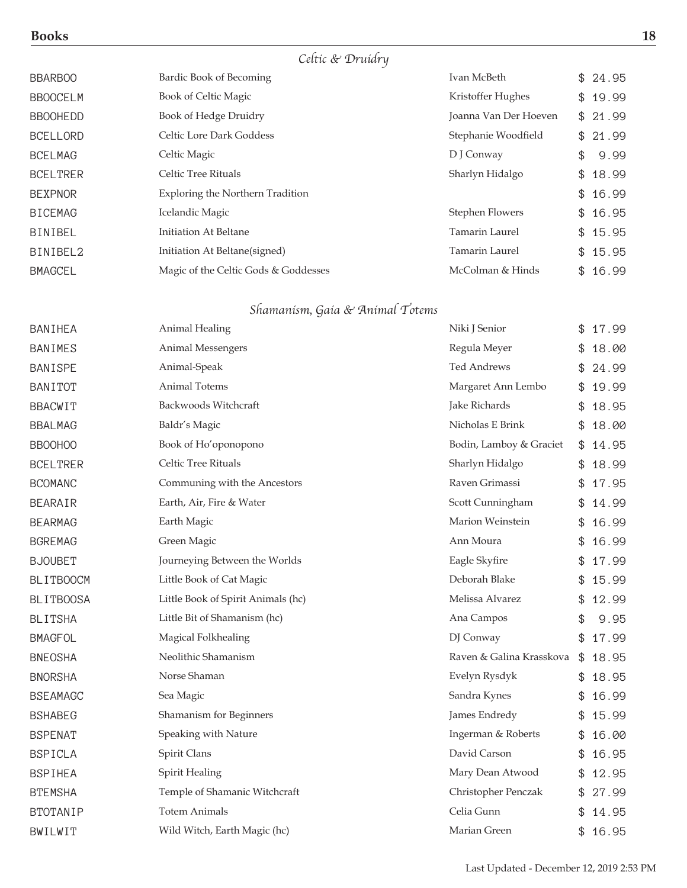### Celtic & Druidry

| <b>BBARBOO</b>  | Bardic Book of Becoming                 | Ivan McBeth            | \$24.95    |
|-----------------|-----------------------------------------|------------------------|------------|
| <b>BBOOCELM</b> | Book of Celtic Magic                    | Kristoffer Hughes      | \$19.99    |
| <b>BBOOHEDD</b> | Book of Hedge Druidry                   | Joanna Van Der Hoeven  | \$21.99    |
| <b>BCELLORD</b> | Celtic Lore Dark Goddess                | Stephanie Woodfield    | \$21.99    |
| <b>BCELMAG</b>  | Celtic Magic                            | D J Conway             | \$<br>9.99 |
| <b>BCELTRER</b> | Celtic Tree Rituals                     | Sharlyn Hidalgo        | \$18.99    |
| <b>BEXPNOR</b>  | <b>Exploring the Northern Tradition</b> |                        | \$16.99    |
| <b>BICEMAG</b>  | Icelandic Magic                         | <b>Stephen Flowers</b> | \$16.95    |
| <b>BINIBEL</b>  | Initiation At Beltane                   | <b>Tamarin Laurel</b>  | \$15.95    |
| BINIBEL2        | Initiation At Beltane(signed)           | <b>Tamarin Laurel</b>  | \$15.95    |
| <b>BMAGCEL</b>  | Magic of the Celtic Gods & Goddesses    | McColman & Hinds       | \$16.99    |
|                 |                                         |                        |            |

### Shamanism, Gaia & Animal Totems

| BANIHEA          | Animal Healing                     | Niki J Senior            | \$<br>17.99 |
|------------------|------------------------------------|--------------------------|-------------|
| <b>BANIMES</b>   | Animal Messengers                  | Regula Meyer             | \$<br>18.00 |
| <b>BANISPE</b>   | Animal-Speak                       | <b>Ted Andrews</b>       | 24.99       |
| <b>BANITOT</b>   | Animal Totems                      | Margaret Ann Lembo       | \$<br>19.99 |
| <b>BBACWIT</b>   | Backwoods Witchcraft               | Jake Richards            | \$<br>18.95 |
| <b>BBALMAG</b>   | Baldr's Magic                      | Nicholas E Brink         | \$<br>18.00 |
| <b>BBOOHOO</b>   | Book of Ho'oponopono               | Bodin, Lamboy & Graciet  | \$<br>14.95 |
| <b>BCELTRER</b>  | Celtic Tree Rituals                | Sharlyn Hidalgo          | 18.99       |
| <b>BCOMANC</b>   | Communing with the Ancestors       | Raven Grimassi           | \$<br>17.95 |
| <b>BEARAIR</b>   | Earth, Air, Fire & Water           | Scott Cunningham         | \$<br>14.99 |
| <b>BEARMAG</b>   | Earth Magic                        | Marion Weinstein         | \$<br>16.99 |
| <b>BGREMAG</b>   | Green Magic                        | Ann Moura                | \$<br>16.99 |
| <b>BJOUBET</b>   | Journeying Between the Worlds      | Eagle Skyfire            | 17.99       |
| <b>BLITBOOCM</b> | Little Book of Cat Magic           | Deborah Blake            | \$<br>15.99 |
| <b>BLITBOOSA</b> | Little Book of Spirit Animals (hc) | Melissa Alvarez          | \$<br>12.99 |
| <b>BLITSHA</b>   | Little Bit of Shamanism (hc)       | Ana Campos               | \$<br>9.95  |
| <b>BMAGFOL</b>   | Magical Folkhealing                | DJ Conway                | \$<br>17.99 |
| <b>BNEOSHA</b>   | Neolithic Shamanism                | Raven & Galina Krasskova | \$<br>18.95 |
| <b>BNORSHA</b>   | Norse Shaman                       | Evelyn Rysdyk            | \$<br>18.95 |
| <b>BSEAMAGC</b>  | Sea Magic                          | Sandra Kynes             | \$<br>16.99 |
| <b>BSHABEG</b>   | Shamanism for Beginners            | James Endredy            | \$<br>15.99 |
| <b>BSPENAT</b>   | Speaking with Nature               | Ingerman & Roberts       | \$<br>16.00 |
| <b>BSPICLA</b>   | Spirit Clans                       | David Carson             | \$<br>16.95 |
| <b>BSPIHEA</b>   | Spirit Healing                     | Mary Dean Atwood         | \$<br>12.95 |
| <b>BTEMSHA</b>   | Temple of Shamanic Witchcraft      | Christopher Penczak      | \$<br>27.99 |
| <b>BTOTANIP</b>  | <b>Totem Animals</b>               | Celia Gunn               | \$<br>14.95 |
| BWILWIT          | Wild Witch, Earth Magic (hc)       | Marian Green             | \$<br>16.95 |
|                  |                                    |                          |             |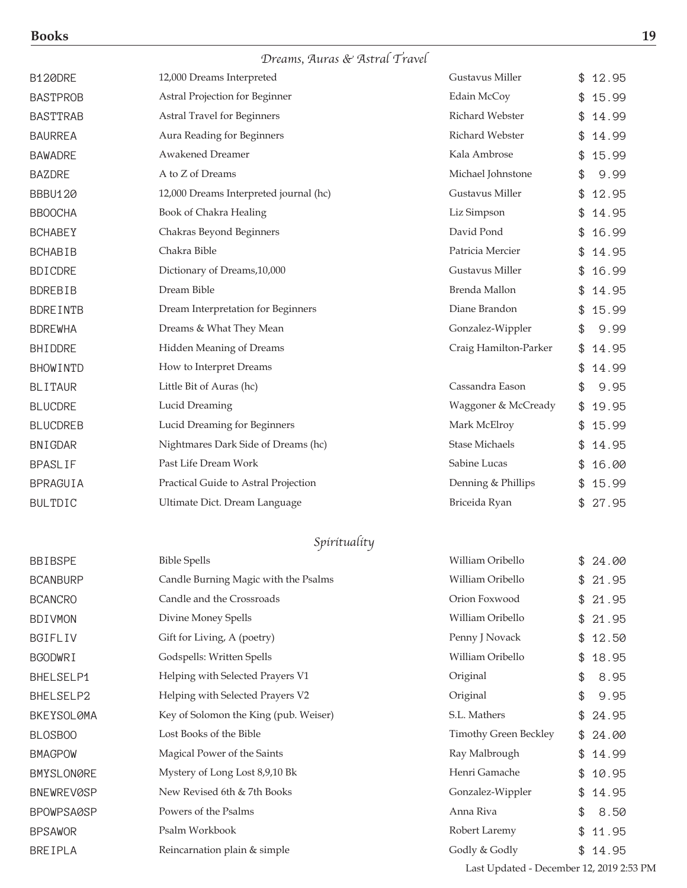| <b>Books</b> | 19 |
|--------------|----|
|              |    |

# Dreams, Auras & Astral Travel

| I |                          |
|---|--------------------------|
|   | ٠<br>۰,<br>۰.<br>۰.<br>× |

| <b>B120DRE</b>    | 12,000 Dreams Interpreted              | Gustavus Miller              | \$ | 12.95 |
|-------------------|----------------------------------------|------------------------------|----|-------|
| <b>BASTPROB</b>   | Astral Projection for Beginner         | Edain McCoy                  |    | 15.99 |
| <b>BASTTRAB</b>   | <b>Astral Travel for Beginners</b>     | Richard Webster              | \$ | 14.99 |
| <b>BAURREA</b>    | Aura Reading for Beginners             | Richard Webster              | \$ | 14.99 |
| <b>BAWADRE</b>    | <b>Awakened Dreamer</b>                | Kala Ambrose                 | \$ | 15.99 |
| <b>BAZDRE</b>     | A to Z of Dreams                       | Michael Johnstone            | \$ | 9.99  |
| <b>BBBU120</b>    | 12,000 Dreams Interpreted journal (hc) | Gustavus Miller              | \$ | 12.95 |
| <b>BBOOCHA</b>    | Book of Chakra Healing                 | Liz Simpson                  | \$ | 14.95 |
| <b>BCHABEY</b>    | Chakras Beyond Beginners               | David Pond                   | \$ | 16.99 |
| <b>BCHABIB</b>    | Chakra Bible                           | Patricia Mercier             | \$ | 14.95 |
| <b>BDICDRE</b>    | Dictionary of Dreams, 10,000           | Gustavus Miller              | \$ | 16.99 |
| <b>BDREBIB</b>    | Dream Bible                            | Brenda Mallon                | \$ | 14.95 |
| <b>BDREINTB</b>   | Dream Interpretation for Beginners     | Diane Brandon                | \$ | 15.99 |
| <b>BDREWHA</b>    | Dreams & What They Mean                | Gonzalez-Wippler             | \$ | 9.99  |
| BHIDDRE           | Hidden Meaning of Dreams               | Craig Hamilton-Parker        | \$ | 14.95 |
| <b>BHOWINTD</b>   | How to Interpret Dreams                |                              | \$ | 14.99 |
| <b>BLITAUR</b>    | Little Bit of Auras (hc)               | Cassandra Eason              | \$ | 9.95  |
| <b>BLUCDRE</b>    | Lucid Dreaming                         | Waggoner & McCready          | \$ | 19.95 |
| <b>BLUCDREB</b>   | Lucid Dreaming for Beginners           | Mark McElroy                 | \$ | 15.99 |
| <b>BNIGDAR</b>    | Nightmares Dark Side of Dreams (hc)    | <b>Stase Michaels</b>        | \$ | 14.95 |
| <b>BPASLIF</b>    | Past Life Dream Work                   | Sabine Lucas                 | \$ | 16.00 |
| BPRAGUIA          | Practical Guide to Astral Projection   | Denning & Phillips           | \$ | 15.99 |
| <b>BULTDIC</b>    | Ultimate Dict. Dream Language          | Briceida Ryan                | \$ | 27.95 |
|                   |                                        |                              |    |       |
|                   | Spírítualíty                           |                              |    |       |
| <b>BBIBSPE</b>    | <b>Bible Spells</b>                    | William Oribello             | \$ | 24.00 |
| <b>BCANBURP</b>   | Candle Burning Magic with the Psalms   | William Oribello             | \$ | 21.95 |
| <b>BCANCRO</b>    | Candle and the Crossroads              | Orion Foxwood                | \$ | 21.95 |
| <b>BDIVMON</b>    | Divine Money Spells                    | William Oribello             | \$ | 21.95 |
| BGIFLIV           | Gift for Living, A (poetry)            | Penny J Novack               | \$ | 12.50 |
| <b>BGODWRI</b>    | Godspells: Written Spells              | William Oribello             | \$ | 18.95 |
| BHELSELP1         | Helping with Selected Prayers V1       | Original                     | \$ | 8.95  |
| BHELSELP2         | Helping with Selected Prayers V2       | Original                     | \$ | 9.95  |
| <b>BKEYSOLØMA</b> | Key of Solomon the King (pub. Weiser)  | S.L. Mathers                 | \$ | 24.95 |
| BLOSBOO           | Lost Books of the Bible                | <b>Timothy Green Beckley</b> | \$ | 24.00 |
| <b>BMAGPOW</b>    | Magical Power of the Saints            | Ray Malbrough                | \$ | 14.99 |
| <b>BMYSLONØRE</b> | Mystery of Long Lost 8,9,10 Bk         | Henri Gamache                | \$ | 10.95 |
| <b>BNEWREVØSP</b> | New Revised 6th & 7th Books            | Gonzalez-Wippler             | \$ | 14.95 |
| BPOWPSAØSP        | Powers of the Psalms                   | Anna Riva                    | \$ | 8.50  |
| <b>BPSAWOR</b>    | Psalm Workbook                         | Robert Laremy                | \$ | 11.95 |
| <b>BREIPLA</b>    | Reincarnation plain & simple           | Godly & Godly                | \$ | 14.95 |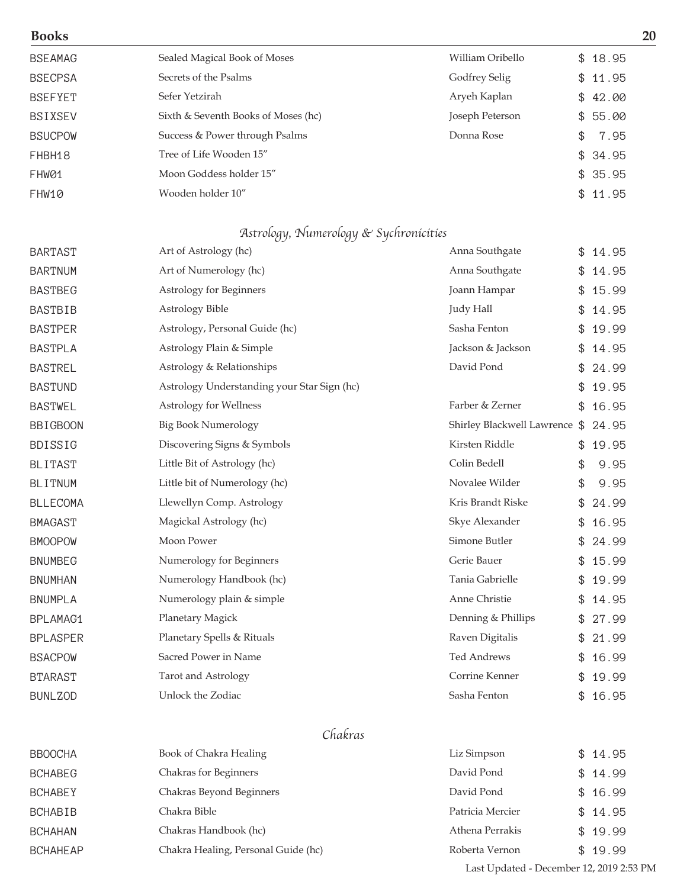| <b>Books</b>    |                                             |                               |             | 20 |
|-----------------|---------------------------------------------|-------------------------------|-------------|----|
| <b>BSEAMAG</b>  | Sealed Magical Book of Moses                | William Oribello              | \$18.95     |    |
| <b>BSECPSA</b>  | Secrets of the Psalms                       | Godfrey Selig                 | \$<br>11.95 |    |
| <b>BSEFYET</b>  | Sefer Yetzirah                              | Aryeh Kaplan                  | \$<br>42.00 |    |
| <b>BSIXSEV</b>  | Sixth & Seventh Books of Moses (hc)         | Joseph Peterson               | \$<br>55.00 |    |
| <b>BSUCPOW</b>  | Success & Power through Psalms              | Donna Rose                    | \$<br>7.95  |    |
| FHBH18          | Tree of Life Wooden 15"                     |                               | \$<br>34.95 |    |
| FHW01           | Moon Goddess holder 15"                     |                               | \$<br>35.95 |    |
| FHW10           | Wooden holder 10"                           |                               | \$<br>11.95 |    |
|                 | Astrology, Numerology & Sychronicities      |                               |             |    |
| <b>BARTAST</b>  | Art of Astrology (hc)                       | Anna Southgate                | \$14.95     |    |
| <b>BARTNUM</b>  | Art of Numerology (hc)                      | Anna Southgate                | \$<br>14.95 |    |
| <b>BASTBEG</b>  | Astrology for Beginners                     | Joann Hampar                  | 15.99       |    |
| <b>BASTBIB</b>  | Astrology Bible                             | Judy Hall                     | \$<br>14.95 |    |
| <b>BASTPER</b>  | Astrology, Personal Guide (hc)              | Sasha Fenton                  | \$<br>19.99 |    |
| <b>BASTPLA</b>  | Astrology Plain & Simple                    | Jackson & Jackson             | \$<br>14.95 |    |
| <b>BASTREL</b>  | Astrology & Relationships                   | David Pond                    | 24.99       |    |
| <b>BASTUND</b>  | Astrology Understanding your Star Sign (hc) |                               | 19.95       |    |
| <b>BASTWEL</b>  | Astrology for Wellness                      | Farber & Zerner               | 16.95       |    |
| <b>BBIGBOON</b> | <b>Big Book Numerology</b>                  | Shirley Blackwell Lawrence \$ | 24.95       |    |
| <b>BDISSIG</b>  | Discovering Signs & Symbols                 | Kirsten Riddle                | 19.95       |    |
| <b>BLITAST</b>  | Little Bit of Astrology (hc)                | Colin Bedell                  | \$<br>9.95  |    |
| <b>BLITNUM</b>  | Little bit of Numerology (hc)               | Novalee Wilder                | \$<br>9.95  |    |
| <b>BLLECOMA</b> | Llewellyn Comp. Astrology                   | Kris Brandt Riske             | \$<br>24.99 |    |
| <b>BMAGAST</b>  | Magickal Astrology (hc)                     | Skye Alexander                | \$<br>16.95 |    |
| <b>BMOOPOW</b>  | Moon Power                                  | Simone Butler                 | \$<br>24.99 |    |
| <b>BNUMBEG</b>  | Numerology for Beginners                    | Gerie Bauer                   | 15.99       |    |
| <b>BNUMHAN</b>  | Numerology Handbook (hc)                    | Tania Gabrielle               | 19.99       |    |
| <b>BNUMPLA</b>  | Numerology plain & simple                   | Anne Christie                 | 14.95       |    |
| BPLAMAG1        | Planetary Magick                            | Denning & Phillips            | \$<br>27.99 |    |
| <b>BPLASPER</b> | Planetary Spells & Rituals                  | Raven Digitalis               | \$<br>21.99 |    |
| <b>BSACPOW</b>  | Sacred Power in Name                        | <b>Ted Andrews</b>            | 16.99       |    |
| <b>BTARAST</b>  | Tarot and Astrology                         | Corrine Kenner                | 19.99       |    |
| <b>BUNLZOD</b>  | Unlock the Zodiac                           | Sasha Fenton                  | \$<br>16.95 |    |
|                 | $\cap$ $\cap$                               |                               |             |    |

#### Chakras

| <b>BBOOCHA</b>  | Book of Chakra Healing              | Liz Simpson      | \$14.95 |
|-----------------|-------------------------------------|------------------|---------|
| <b>BCHABEG</b>  | Chakras for Beginners               | David Pond       | \$14.99 |
| <b>BCHABEY</b>  | Chakras Beyond Beginners            | David Pond       | \$16.99 |
| <b>BCHABIB</b>  | Chakra Bible                        | Patricia Mercier | \$14.95 |
| <b>BCHAHAN</b>  | Chakras Handbook (hc)               | Athena Perrakis  | \$19.99 |
| <b>BCHAHEAP</b> | Chakra Healing, Personal Guide (hc) | Roberta Vernon   | \$19.99 |